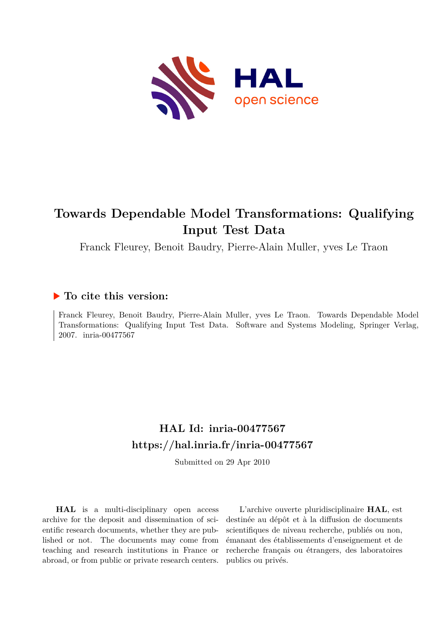

# **Towards Dependable Model Transformations: Qualifying Input Test Data**

Franck Fleurey, Benoit Baudry, Pierre-Alain Muller, yves Le Traon

## **To cite this version:**

Franck Fleurey, Benoit Baudry, Pierre-Alain Muller, yves Le Traon. Towards Dependable Model Transformations: Qualifying Input Test Data. Software and Systems Modeling, Springer Verlag, 2007. inria-00477567

# **HAL Id: inria-00477567 <https://hal.inria.fr/inria-00477567>**

Submitted on 29 Apr 2010

**HAL** is a multi-disciplinary open access archive for the deposit and dissemination of scientific research documents, whether they are published or not. The documents may come from teaching and research institutions in France or abroad, or from public or private research centers.

L'archive ouverte pluridisciplinaire **HAL**, est destinée au dépôt et à la diffusion de documents scientifiques de niveau recherche, publiés ou non, émanant des établissements d'enseignement et de recherche français ou étrangers, des laboratoires publics ou privés.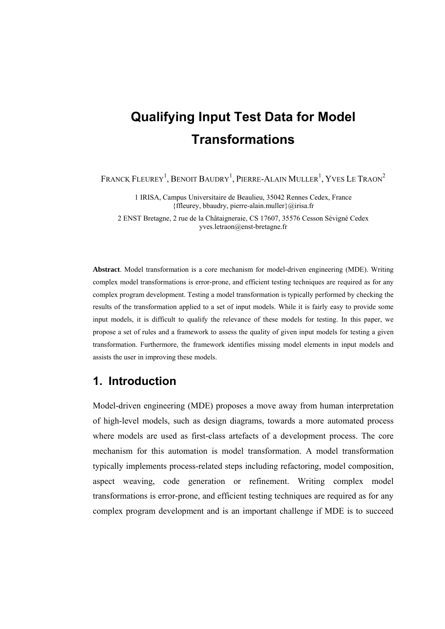# **Qualifying Input Test Data for Model Transformations**

Franck Fleurey<sup>1</sup>, Benoit Baudry<sup>1</sup>, Pierre-Alain Muller<sup>1</sup>, Yves Le Traon<sup>2</sup>

1 IRISA, Campus Universitaire de Beaulieu, 35042 Rennes Cedex, France {ffleurey, bbaudry, pierre-alain.muller}@irisa.fr

2 ENST Bretagne, 2 rue de la Châtaigneraie, CS 17607, 35576 Cesson Sévigné Cedex yves.letraon@enst-bretagne.fr

**Abstract**. Model transformation is a core mechanism for model-driven engineering (MDE). Writing complex model transformations is error-prone, and efficient testing techniques are required as for any complex program development. Testing a model transformation is typically performed by checking the results of the transformation applied to a set of input models. While it is fairly easy to provide some input models, it is difficult to qualify the relevance of these models for testing. In this paper, we propose a set of rules and a framework to assess the quality of given input models for testing a given transformation. Furthermore, the framework identifies missing model elements in input models and assists the user in improving these models.

### **1. Introduction**

Model-driven engineering (MDE) proposes a move away from human interpretation of high-level models, such as design diagrams, towards a more automated process where models are used as first-class artefacts of a development process. The core mechanism for this automation is model transformation. A model transformation typically implements process-related steps including refactoring, model composition, aspect weaving, code generation or refinement. Writing complex model transformations is error-prone, and efficient testing techniques are required as for any complex program development and is an important challenge if MDE is to succeed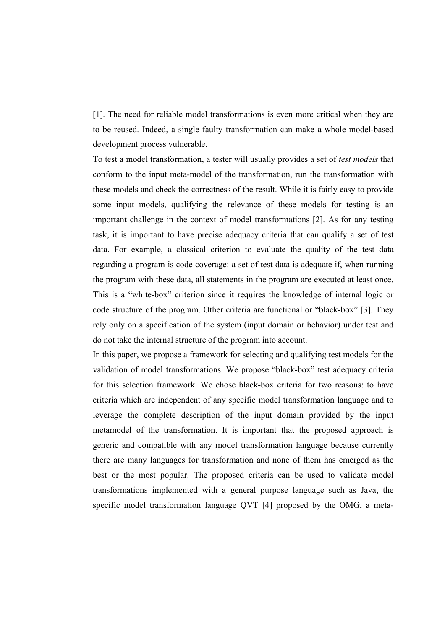[1]. The need for reliable model transformations is even more critical when they are to be reused. Indeed, a single faulty transformation can make a whole model-based development process vulnerable.

To test a model transformation, a tester will usually provides a set of *test models* that conform to the input meta-model of the transformation, run the transformation with these models and check the correctness of the result. While it is fairly easy to provide some input models, qualifying the relevance of these models for testing is an important challenge in the context of model transformations [2]. As for any testing task, it is important to have precise adequacy criteria that can qualify a set of test data. For example, a classical criterion to evaluate the quality of the test data regarding a program is code coverage: a set of test data is adequate if, when running the program with these data, all statements in the program are executed at least once. This is a "white-box" criterion since it requires the knowledge of internal logic or code structure of the program. Other criteria are functional or "black-box" [3]. They rely only on a specification of the system (input domain or behavior) under test and do not take the internal structure of the program into account.

In this paper, we propose a framework for selecting and qualifying test models for the validation of model transformations. We propose "black-box" test adequacy criteria for this selection framework. We chose black-box criteria for two reasons: to have criteria which are independent of any specific model transformation language and to leverage the complete description of the input domain provided by the input metamodel of the transformation. It is important that the proposed approach is generic and compatible with any model transformation language because currently there are many languages for transformation and none of them has emerged as the best or the most popular. The proposed criteria can be used to validate model transformations implemented with a general purpose language such as Java, the specific model transformation language QVT [4] proposed by the OMG, a meta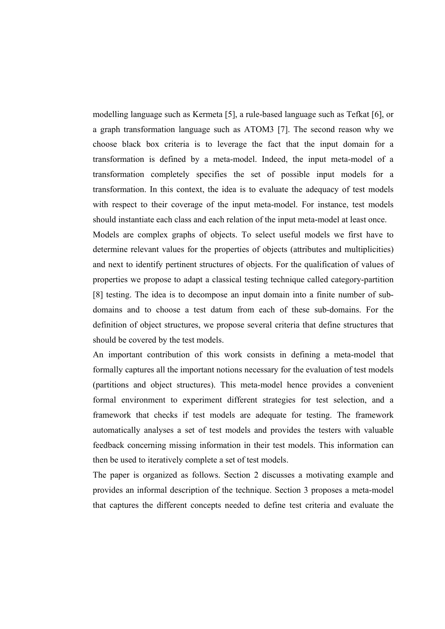modelling language such as Kermeta [5], a rule-based language such as Tefkat [6], or a graph transformation language such as ATOM3 [7]. The second reason why we choose black box criteria is to leverage the fact that the input domain for a transformation is defined by a meta-model. Indeed, the input meta-model of a transformation completely specifies the set of possible input models for a transformation. In this context, the idea is to evaluate the adequacy of test models with respect to their coverage of the input meta-model. For instance, test models should instantiate each class and each relation of the input meta-model at least once.

Models are complex graphs of objects. To select useful models we first have to determine relevant values for the properties of objects (attributes and multiplicities) and next to identify pertinent structures of objects. For the qualification of values of properties we propose to adapt a classical testing technique called category-partition [8] testing. The idea is to decompose an input domain into a finite number of subdomains and to choose a test datum from each of these sub-domains. For the definition of object structures, we propose several criteria that define structures that should be covered by the test models.

An important contribution of this work consists in defining a meta-model that formally captures all the important notions necessary for the evaluation of test models (partitions and object structures). This meta-model hence provides a convenient formal environment to experiment different strategies for test selection, and a framework that checks if test models are adequate for testing. The framework automatically analyses a set of test models and provides the testers with valuable feedback concerning missing information in their test models. This information can then be used to iteratively complete a set of test models.

The paper is organized as follows. Section 2 discusses a motivating example and provides an informal description of the technique. Section 3 proposes a meta-model that captures the different concepts needed to define test criteria and evaluate the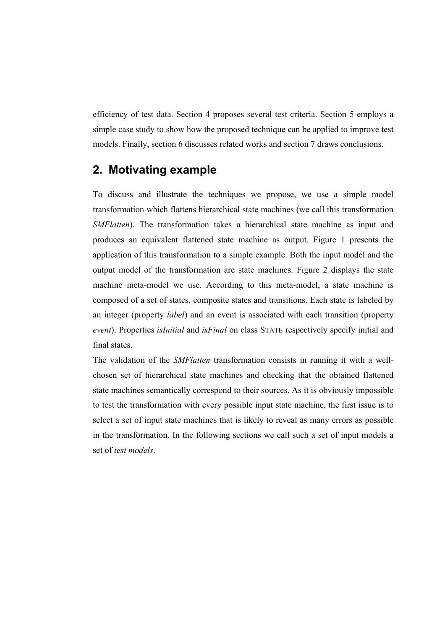efficiency of test data. Section 4 proposes several test criteria. Section 5 employs a simple case study to show how the proposed technique can be applied to improve test models. Finally, section 6 discusses related works and section 7 draws conclusions.

## **2. Motivating example**

To discuss and illustrate the techniques we propose, we use a simple model transformation which flattens hierarchical state machines (we call this transformation *SMFlatten*). The transformation takes a hierarchical state machine as input and produces an equivalent flattened state machine as output. Figure 1 presents the application of this transformation to a simple example. Both the input model and the output model of the transformation are state machines. Figure 2 displays the state machine meta-model we use. According to this meta-model, a state machine is composed of a set of states, composite states and transitions. Each state is labeled by an integer (property *label*) and an event is associated with each transition (property *event*). Properties *isInitial* and *isFinal* on class STATE respectively specify initial and final states.

The validation of the *SMFlatten* transformation consists in running it with a wellchosen set of hierarchical state machines and checking that the obtained flattened state machines semantically correspond to their sources. As it is obviously impossible to test the transformation with every possible input state machine, the first issue is to select a set of input state machines that is likely to reveal as many errors as possible in the transformation. In the following sections we call such a set of input models a set of *test models*.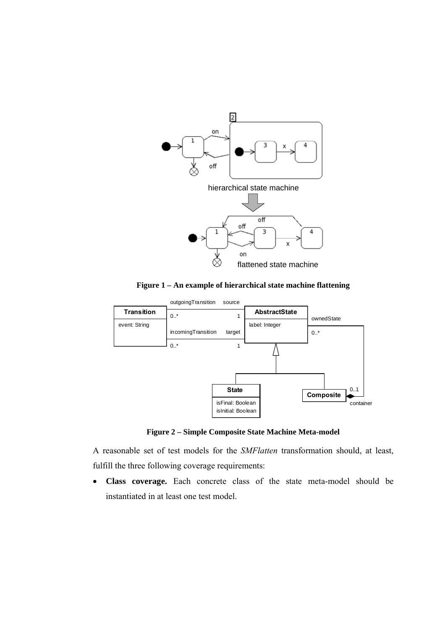

**Figure 1 – An example of hierarchical state machine flattening** 



**Figure 2 – Simple Composite State Machine Meta-model** 

A reasonable set of test models for the *SMFlatten* transformation should, at least, fulfill the three following coverage requirements:

• **Class coverage.** Each concrete class of the state meta-model should be instantiated in at least one test model.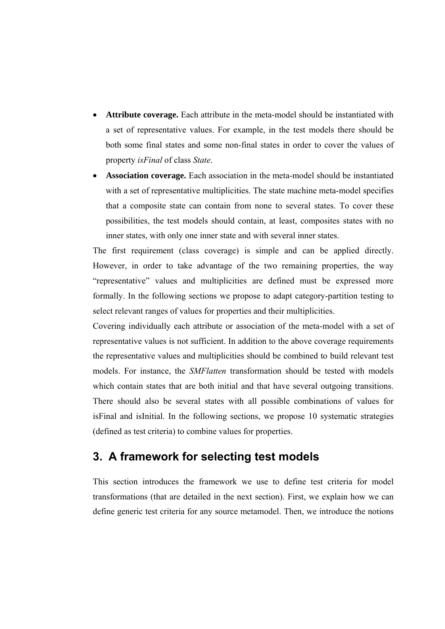- **Attribute coverage.** Each attribute in the meta-model should be instantiated with a set of representative values. For example, in the test models there should be both some final states and some non-final states in order to cover the values of property *isFinal* of class *State*.
- **Association coverage.** Each association in the meta-model should be instantiated with a set of representative multiplicities. The state machine meta-model specifies that a composite state can contain from none to several states. To cover these possibilities, the test models should contain, at least, composites states with no inner states, with only one inner state and with several inner states.

The first requirement (class coverage) is simple and can be applied directly. However, in order to take advantage of the two remaining properties, the way "representative" values and multiplicities are defined must be expressed more formally. In the following sections we propose to adapt category-partition testing to select relevant ranges of values for properties and their multiplicities.

Covering individually each attribute or association of the meta-model with a set of representative values is not sufficient. In addition to the above coverage requirements the representative values and multiplicities should be combined to build relevant test models. For instance, the *SMFlatten* transformation should be tested with models which contain states that are both initial and that have several outgoing transitions. There should also be several states with all possible combinations of values for isFinal and isInitial. In the following sections, we propose 10 systematic strategies (defined as test criteria) to combine values for properties.

# **3. A framework for selecting test models**

This section introduces the framework we use to define test criteria for model transformations (that are detailed in the next section). First, we explain how we can define generic test criteria for any source metamodel. Then, we introduce the notions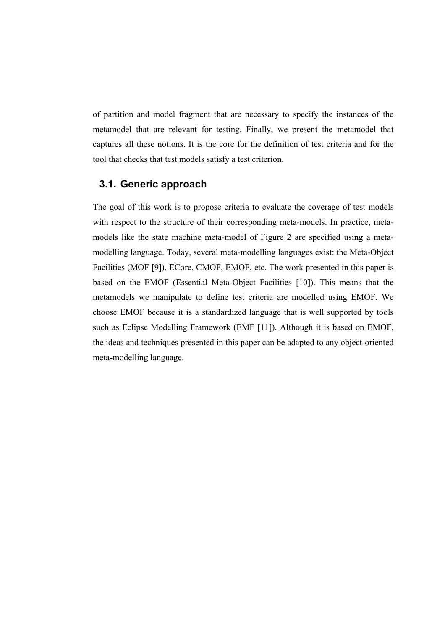of partition and model fragment that are necessary to specify the instances of the metamodel that are relevant for testing. Finally, we present the metamodel that captures all these notions. It is the core for the definition of test criteria and for the tool that checks that test models satisfy a test criterion.

### **3.1. Generic approach**

The goal of this work is to propose criteria to evaluate the coverage of test models with respect to the structure of their corresponding meta-models. In practice, metamodels like the state machine meta-model of Figure 2 are specified using a metamodelling language. Today, several meta-modelling languages exist: the Meta-Object Facilities (MOF [9]), ECore, CMOF, EMOF, etc. The work presented in this paper is based on the EMOF (Essential Meta-Object Facilities [10]). This means that the metamodels we manipulate to define test criteria are modelled using EMOF. We choose EMOF because it is a standardized language that is well supported by tools such as Eclipse Modelling Framework (EMF [11]). Although it is based on EMOF, the ideas and techniques presented in this paper can be adapted to any object-oriented meta-modelling language.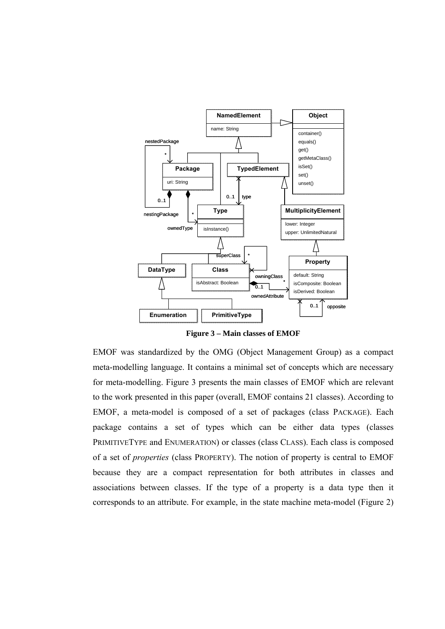

**Figure 3 – Main classes of EMOF** 

EMOF was standardized by the OMG (Object Management Group) as a compact meta-modelling language. It contains a minimal set of concepts which are necessary for meta-modelling. Figure 3 presents the main classes of EMOF which are relevant to the work presented in this paper (overall, EMOF contains 21 classes). According to EMOF, a meta-model is composed of a set of packages (class PACKAGE). Each package contains a set of types which can be either data types (classes PRIMITIVETYPE and ENUMERATION) or classes (class CLASS). Each class is composed of a set of *properties* (class PROPERTY). The notion of property is central to EMOF because they are a compact representation for both attributes in classes and associations between classes. If the type of a property is a data type then it corresponds to an attribute. For example, in the state machine meta-model (Figure 2)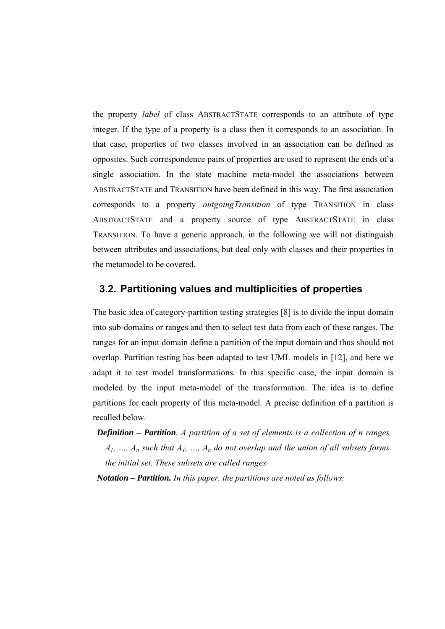the property *label* of class ABSTRACTSTATE corresponds to an attribute of type integer. If the type of a property is a class then it corresponds to an association. In that case, properties of two classes involved in an association can be defined as opposites. Such correspondence pairs of properties are used to represent the ends of a single association. In the state machine meta-model the associations between ABSTRACTSTATE and TRANSITION have been defined in this way. The first association corresponds to a property *outgoingTransition* of type TRANSITION in class ABSTRACTSTATE and a property source of type ABSTRACTSTATE in class TRANSITION. To have a generic approach, in the following we will not distinguish between attributes and associations, but deal only with classes and their properties in the metamodel to be covered.

#### **3.2. Partitioning values and multiplicities of properties**

The basic idea of category-partition testing strategies [8] is to divide the input domain into sub-domains or ranges and then to select test data from each of these ranges. The ranges for an input domain define a partition of the input domain and thus should not overlap. Partition testing has been adapted to test UML models in [12], and here we adapt it to test model transformations. In this specific case, the input domain is modeled by the input meta-model of the transformation. The idea is to define partitions for each property of this meta-model. A precise definition of a partition is recalled below.

- *Definition Partition. A partition of a set of elements is a collection of n ranges*   $A_1$ , ...,  $A_n$  such that  $A_1$ , ...,  $A_n$  do not overlap and the union of all subsets forms *the initial set. These subsets are called ranges.*
- *Notation Partition. In this paper, the partitions are noted as follows:*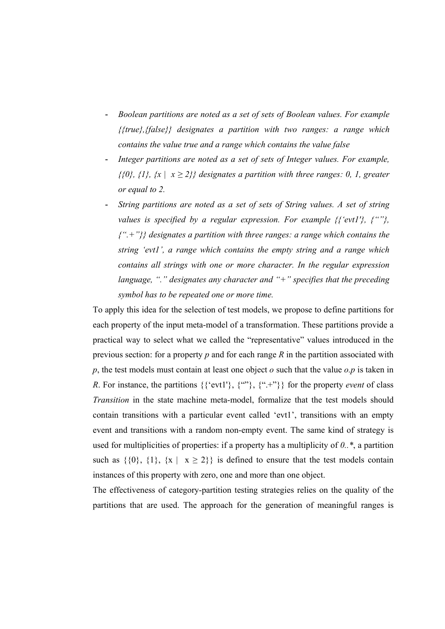- **-** *Boolean partitions are noted as a set of sets of Boolean values. For example {{true},{false}} designates a partition with two ranges: a range which contains the value true and a range which contains the value false*
- **-** *Integer partitions are noted as a set of sets of Integer values. For example,*   $\{\{0\},\{1\},\{x \mid x \geq 2\}\}$  designates a partition with three ranges: 0, 1, greater *or equal to 2.*
- **-** *String partitions are noted as a set of sets of String values. A set of string values is specified by a regular expression. For example {{'evt1'}, {""}, {".+"}} designates a partition with three ranges: a range which contains the string 'evt1', a range which contains the empty string and a range which contains all strings with one or more character. In the regular expression language, "." designates any character and "+" specifies that the preceding symbol has to be repeated one or more time.*

To apply this idea for the selection of test models, we propose to define partitions for each property of the input meta-model of a transformation. These partitions provide a practical way to select what we called the "representative" values introduced in the previous section: for a property *p* and for each range *R* in the partition associated with *p*, the test models must contain at least one object *o* such that the value *o.p* is taken in *R*. For instance, the partitions  $\{\{\text{`evtl'}\}, \{\text{```+''}\}\}$  for the property *event* of class *Transition* in the state machine meta-model, formalize that the test models should contain transitions with a particular event called 'evt1', transitions with an empty event and transitions with a random non-empty event. The same kind of strategy is used for multiplicities of properties: if a property has a multiplicity of *0..\**, a partition such as  $\{\{0\}, \{1\}, \{x \mid x \ge 2\}\}\$ is defined to ensure that the test models contain instances of this property with zero, one and more than one object.

The effectiveness of category-partition testing strategies relies on the quality of the partitions that are used. The approach for the generation of meaningful ranges is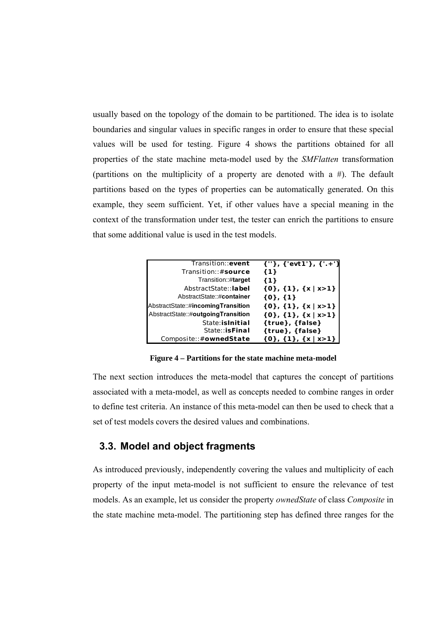usually based on the topology of the domain to be partitioned. The idea is to isolate boundaries and singular values in specific ranges in order to ensure that these special values will be used for testing. Figure 4 shows the partitions obtained for all properties of the state machine meta-model used by the *SMFlatten* transformation (partitions on the multiplicity of a property are denoted with a #). The default partitions based on the types of properties can be automatically generated. On this example, they seem sufficient. Yet, if other values have a special meaning in the context of the transformation under test, the tester can enrich the partitions to ensure that some additional value is used in the test models.

| Transition:: event                 | ${\'$ }, ${\'$ evt 1' }, ${\'$ . + ' ] |
|------------------------------------|----------------------------------------|
| Transition::#source                | $\{1\}$                                |
| Transition::#target                | $\{1\}$                                |
| AbstractState::label               | $\{0\}, \{1\}, \{x \mid x>1\}$         |
| AbstractState::#container          | ${0}, {1}$                             |
| AbstractState::#incomingTransition | $\{0\}, \{1\}, \{x \mid x>1\}$         |
| AbstractState::#outgoingTransition | $\{0\}, \{1\}, \{x \mid x>1\}$         |
| State: is Initial                  | {true}, {false}                        |
| State::isFinal                     | {true}, {false}                        |
| Composite::#ownedState             | $\{0\}, \{1\}, \{x \mid x>1\}$         |

**Figure 4 – Partitions for the state machine meta-model** 

The next section introduces the meta-model that captures the concept of partitions associated with a meta-model, as well as concepts needed to combine ranges in order to define test criteria. An instance of this meta-model can then be used to check that a set of test models covers the desired values and combinations.

### **3.3. Model and object fragments**

As introduced previously, independently covering the values and multiplicity of each property of the input meta-model is not sufficient to ensure the relevance of test models. As an example, let us consider the property *ownedState* of class *Composite* in the state machine meta-model. The partitioning step has defined three ranges for the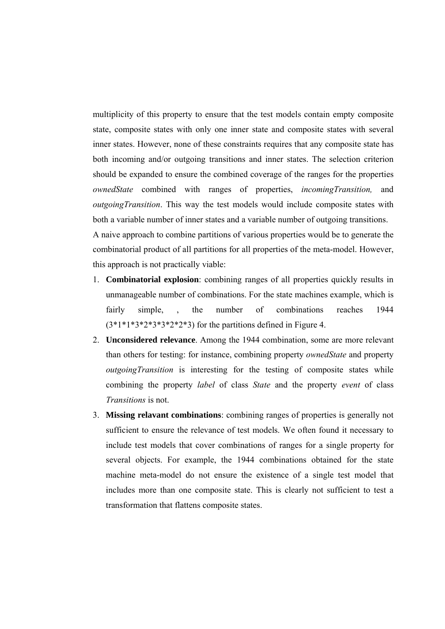multiplicity of this property to ensure that the test models contain empty composite state, composite states with only one inner state and composite states with several inner states. However, none of these constraints requires that any composite state has both incoming and/or outgoing transitions and inner states. The selection criterion should be expanded to ensure the combined coverage of the ranges for the properties *ownedState* combined with ranges of properties, *incomingTransition,* and *outgoingTransition*. This way the test models would include composite states with both a variable number of inner states and a variable number of outgoing transitions.

A naive approach to combine partitions of various properties would be to generate the combinatorial product of all partitions for all properties of the meta-model. However, this approach is not practically viable:

- 1. **Combinatorial explosion**: combining ranges of all properties quickly results in unmanageable number of combinations. For the state machines example, which is fairly simple, , the number of combinations reaches 1944  $(3*1*1*3*2*3*3*2*2*3)$  for the partitions defined in Figure 4.
- 2. **Unconsidered relevance**. Among the 1944 combination, some are more relevant than others for testing: for instance, combining property *ownedState* and property *outgoingTransition* is interesting for the testing of composite states while combining the property *label* of class *State* and the property *event* of class *Transitions* is not.
- 3. **Missing relavant combinations**: combining ranges of properties is generally not sufficient to ensure the relevance of test models. We often found it necessary to include test models that cover combinations of ranges for a single property for several objects. For example, the 1944 combinations obtained for the state machine meta-model do not ensure the existence of a single test model that includes more than one composite state. This is clearly not sufficient to test a transformation that flattens composite states.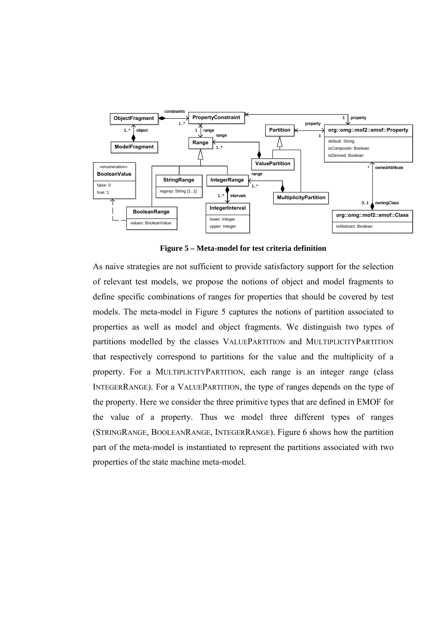

**Figure 5 – Meta-model for test criteria definition** 

As naive strategies are not sufficient to provide satisfactory support for the selection of relevant test models, we propose the notions of object and model fragments to define specific combinations of ranges for properties that should be covered by test models. The meta-model in Figure 5 captures the notions of partition associated to properties as well as model and object fragments. We distinguish two types of partitions modelled by the classes VALUEPARTITION and MULTIPLICITYPARTITION that respectively correspond to partitions for the value and the multiplicity of a property. For a MULTIPLICITYPARTITION, each range is an integer range (class INTEGERRANGE). For a VALUEPARTITION, the type of ranges depends on the type of the property. Here we consider the three primitive types that are defined in EMOF for the value of a property. Thus we model three different types of ranges (STRINGRANGE, BOOLEANRANGE, INTEGERRANGE). Figure 6 shows how the partition part of the meta-model is instantiated to represent the partitions associated with two properties of the state machine meta-model.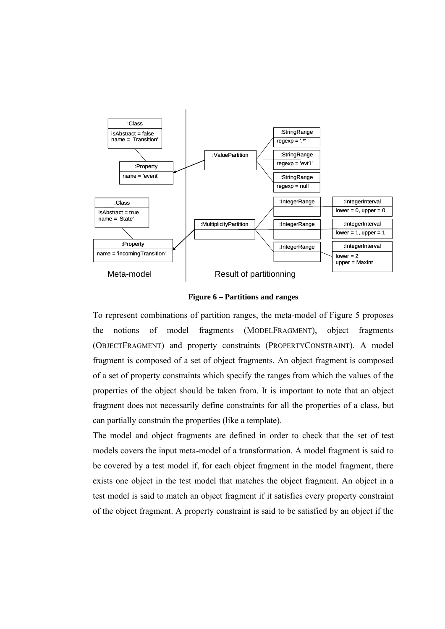

**Figure 6 – Partitions and ranges** 

To represent combinations of partition ranges, the meta-model of Figure 5 proposes the notions of model fragments (MODELFRAGMENT), object fragments (OBJECTFRAGMENT) and property constraints (PROPERTYCONSTRAINT). A model fragment is composed of a set of object fragments. An object fragment is composed of a set of property constraints which specify the ranges from which the values of the properties of the object should be taken from. It is important to note that an object fragment does not necessarily define constraints for all the properties of a class, but can partially constrain the properties (like a template).

The model and object fragments are defined in order to check that the set of test models covers the input meta-model of a transformation. A model fragment is said to be covered by a test model if, for each object fragment in the model fragment, there exists one object in the test model that matches the object fragment. An object in a test model is said to match an object fragment if it satisfies every property constraint of the object fragment. A property constraint is said to be satisfied by an object if the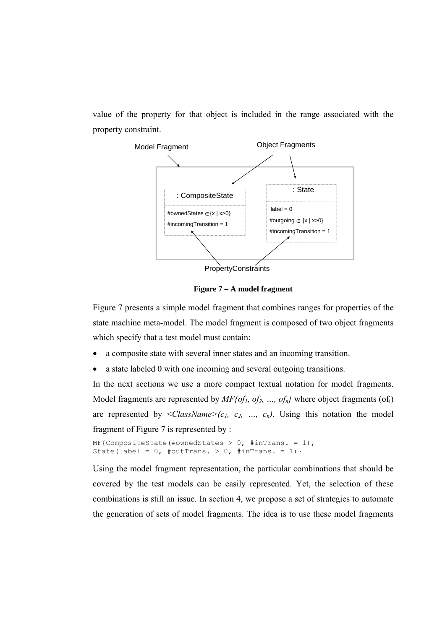value of the property for that object is included in the range associated with the property constraint.



PropertyConstraints

**Figure 7 – A model fragment** 

Figure 7 presents a simple model fragment that combines ranges for properties of the state machine meta-model. The model fragment is composed of two object fragments which specify that a test model must contain:

- a composite state with several inner states and an incoming transition.
- a state labeled 0 with one incoming and several outgoing transitions.

In the next sections we use a more compact textual notation for model fragments. Model fragments are represented by  $MF\{of_1, of_2, ..., of_n\}$  where object fragments (of<sub>i</sub>) are represented by  $\langle \textit{ClassName}\rangle$  ( $c_1, c_2, ..., c_n$ ). Using this notation the model fragment of Figure 7 is represented by :

```
MF{CompositeState}(#ownedStates > 0, #inTrans. = 1),
State(label = 0, #outTrans. > 0, #inTrans. = 1)}
```
Using the model fragment representation, the particular combinations that should be covered by the test models can be easily represented. Yet, the selection of these combinations is still an issue. In section 4, we propose a set of strategies to automate the generation of sets of model fragments. The idea is to use these model fragments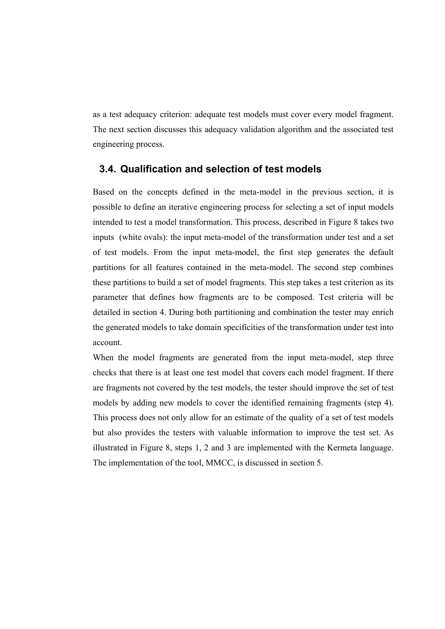as a test adequacy criterion: adequate test models must cover every model fragment. The next section discusses this adequacy validation algorithm and the associated test engineering process.

### **3.4. Qualification and selection of test models**

Based on the concepts defined in the meta-model in the previous section, it is possible to define an iterative engineering process for selecting a set of input models intended to test a model transformation. This process, described in Figure 8 takes two inputs (white ovals): the input meta-model of the transformation under test and a set of test models. From the input meta-model, the first step generates the default partitions for all features contained in the meta-model. The second step combines these partitions to build a set of model fragments. This step takes a test criterion as its parameter that defines how fragments are to be composed. Test criteria will be detailed in section 4. During both partitioning and combination the tester may enrich the generated models to take domain specificities of the transformation under test into account.

When the model fragments are generated from the input meta-model, step three checks that there is at least one test model that covers each model fragment. If there are fragments not covered by the test models, the tester should improve the set of test models by adding new models to cover the identified remaining fragments (step 4). This process does not only allow for an estimate of the quality of a set of test models but also provides the testers with valuable information to improve the test set. As illustrated in Figure 8, steps 1, 2 and 3 are implemented with the Kermeta language. The implementation of the tool, MMCC, is discussed in section 5.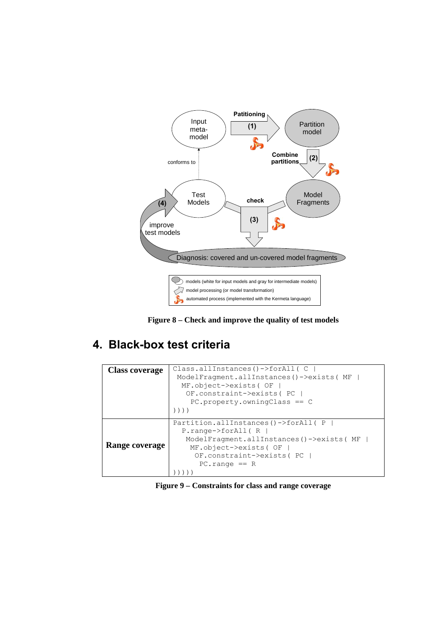

**Figure 8 – Check and improve the quality of test models** 

# **4. Black-box test criteria**

| <b>Class coverage</b> | $Class. all instances() - > for All() C$<br>ModelFragment.allInstances()->exists(MF  <br>MF.object->exists(OF<br>OF.constraint->exists( PC<br>$PC. property. owning Class == C$<br>) ) ) ) |
|-----------------------|--------------------------------------------------------------------------------------------------------------------------------------------------------------------------------------------|
| Range coverage        | Partition.allInstances()->forAll( P<br>$P.random>forall$ (R  <br>ModelFragment.allInstances()->exists(MF  <br>MF.object->exists(OF<br>OF.constraint->exists( PC  <br>$PC.\nangle = R$      |

**Figure 9 – Constraints for class and range coverage**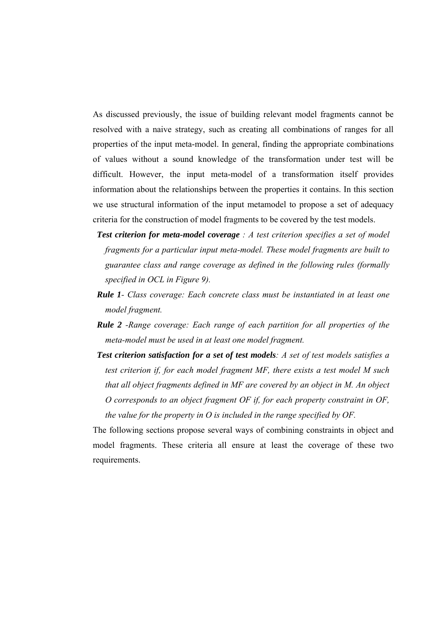As discussed previously, the issue of building relevant model fragments cannot be resolved with a naive strategy, such as creating all combinations of ranges for all properties of the input meta-model. In general, finding the appropriate combinations of values without a sound knowledge of the transformation under test will be difficult. However, the input meta-model of a transformation itself provides information about the relationships between the properties it contains. In this section we use structural information of the input metamodel to propose a set of adequacy criteria for the construction of model fragments to be covered by the test models.

- *Test criterion for meta-model coverage : A test criterion specifies a set of model fragments for a particular input meta-model. These model fragments are built to guarantee class and range coverage as defined in the following rules (formally specified in OCL in Figure 9).*
- *Rule 1 Class coverage: Each concrete class must be instantiated in at least one model fragment.*
- *Rule 2 -Range coverage: Each range of each partition for all properties of the meta-model must be used in at least one model fragment.*
- *Test criterion satisfaction for a set of test models: A set of test models satisfies a test criterion if, for each model fragment MF, there exists a test model M such that all object fragments defined in MF are covered by an object in M. An object O corresponds to an object fragment OF if, for each property constraint in OF, the value for the property in O is included in the range specified by OF.*

The following sections propose several ways of combining constraints in object and model fragments. These criteria all ensure at least the coverage of these two requirements.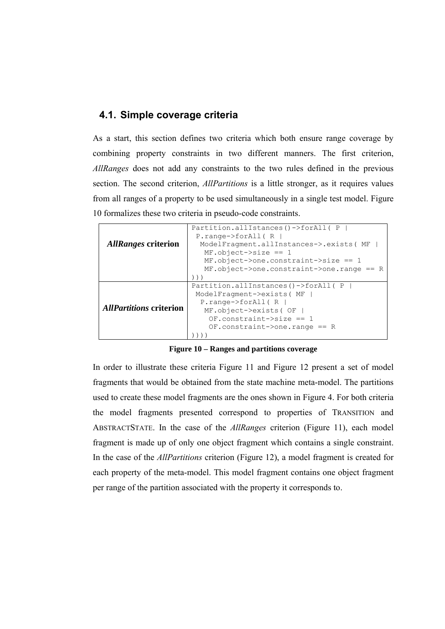### **4.1. Simple coverage criteria**

As a start, this section defines two criteria which both ensure range coverage by combining property constraints in two different manners. The first criterion, *AllRanges* does not add any constraints to the two rules defined in the previous section. The second criterion, *AllPartitions* is a little stronger, as it requires values from all ranges of a property to be used simultaneously in a single test model. Figure 10 formalizes these two criteria in pseudo-code constraints.

|                                   | Partition.allIstances()->forAll( P                             |  |  |
|-----------------------------------|----------------------------------------------------------------|--|--|
|                                   | $P.random>forall$ $R$                                          |  |  |
| <i><b>AllRanges criterion</b></i> | ModelFragment.allInstances->.exists(MF                         |  |  |
|                                   | $MF.object->size == 1$                                         |  |  |
|                                   | $MF. object \rightarrow one. constraint \rightarrow size == 1$ |  |  |
|                                   | MF.object->one.constraint->one.range == R                      |  |  |
|                                   |                                                                |  |  |
|                                   | Partition.allInstances()->forAll( P                            |  |  |
| <b>AllPartitions criterion</b>    | ModelFragment->exists(MF                                       |  |  |
|                                   | P.random>forall ( R   R )                                      |  |  |
|                                   | MF.object->exists(OF                                           |  |  |
|                                   | $OF. constant = > size = 1$                                    |  |  |
|                                   | $OF.\n}$ constraint->one.range == R                            |  |  |
|                                   |                                                                |  |  |

**Figure 10 – Ranges and partitions coverage** 

In order to illustrate these criteria Figure 11 and Figure 12 present a set of model fragments that would be obtained from the state machine meta-model. The partitions used to create these model fragments are the ones shown in Figure 4. For both criteria the model fragments presented correspond to properties of TRANSITION and ABSTRACTSTATE. In the case of the *AllRanges* criterion (Figure 11), each model fragment is made up of only one object fragment which contains a single constraint. In the case of the *AllPartitions* criterion (Figure 12), a model fragment is created for each property of the meta-model. This model fragment contains one object fragment per range of the partition associated with the property it corresponds to.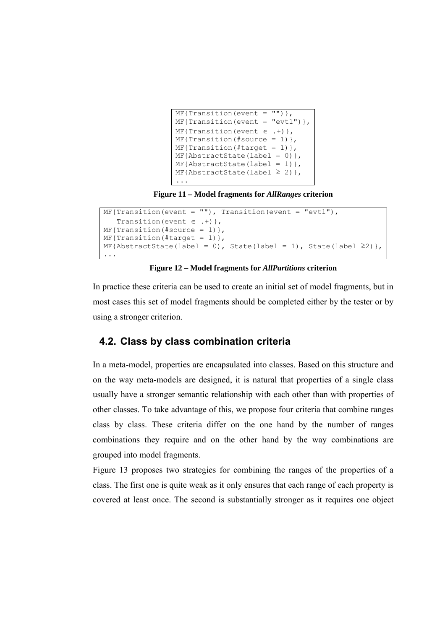```
MF{fracition(event = "")}.MF{Transition(event = "evt1")}.MF{Transition(event \in .+) },
MF{Train(+source = 1)},
MF{Transition(Htarget = 1)},MF{AbstractState(label = 0)},
MF{AbstractState(label = 1)},
MF{AbstractState(label \geq 2) },
...
```
**Figure 11 – Model fragments for** *AllRanges* **criterion** 

```
MF{Traination(event = "")}, Transition(event = "evt1"),
   Transition(event \in .+) },
MF{Transition({#source = 1)}},MF{Transition(#target = 1)},
MF{AbstractState(label = 0), State(label = 1), State(label \geq2) },
...
```
#### **Figure 12 – Model fragments for** *AllPartitions* **criterion**

In practice these criteria can be used to create an initial set of model fragments, but in most cases this set of model fragments should be completed either by the tester or by using a stronger criterion.

### **4.2. Class by class combination criteria**

In a meta-model, properties are encapsulated into classes. Based on this structure and on the way meta-models are designed, it is natural that properties of a single class usually have a stronger semantic relationship with each other than with properties of other classes. To take advantage of this, we propose four criteria that combine ranges class by class. These criteria differ on the one hand by the number of ranges combinations they require and on the other hand by the way combinations are grouped into model fragments.

Figure 13 proposes two strategies for combining the ranges of the properties of a class. The first one is quite weak as it only ensures that each range of each property is covered at least once. The second is substantially stronger as it requires one object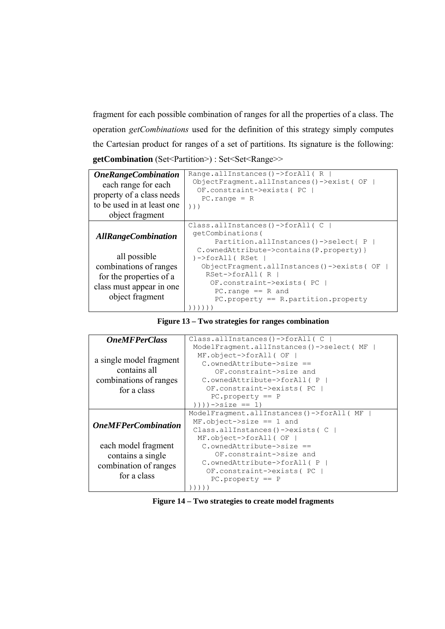fragment for each possible combination of ranges for all the properties of a class. The operation *getCombinations* used for the definition of this strategy simply computes the Cartesian product for ranges of a set of partitions. Its signature is the following: getCombination (Set<Partition>) : Set<Set<Range>>

| <b>OneRangeCombination</b>                                                                                                                      | Range.allInstances()->forAll(R                                                                                                                                                                                                                                                                                                               |
|-------------------------------------------------------------------------------------------------------------------------------------------------|----------------------------------------------------------------------------------------------------------------------------------------------------------------------------------------------------------------------------------------------------------------------------------------------------------------------------------------------|
| each range for each                                                                                                                             | ObjectFragment.allInstances()->exist(OF)                                                                                                                                                                                                                                                                                                     |
| property of a class needs                                                                                                                       | OF.constraint->exists( PC                                                                                                                                                                                                                                                                                                                    |
| to be used in at least one                                                                                                                      | $PC.random = R$                                                                                                                                                                                                                                                                                                                              |
| object fragment                                                                                                                                 | $)$ )                                                                                                                                                                                                                                                                                                                                        |
| <b>AllRangeCombination</b><br>all possible<br>combinations of ranges<br>for the properties of a<br>class must appear in one.<br>object fragment | $Class. all Instantes() \rightarrow ForAll() C$<br>qetCombinations (<br>Partition.allInstances()->select{ P  <br>C.ownedAttribute->contains(P.property)}<br>)->forAll(RSet)<br>ObjectFragment.allInstances()->exists(OF  <br>RSet->forAll(R<br>OF.constraint->exists(PC)<br>$PC.random == R$ and<br>$PC. property == R. partition. property$ |

**Figure 13 – Two strategies for ranges combination** 

| <i><b>OneMFPerClass</b></i>                                                      | $Class. all Instantes() \rightarrow ForAll() C$                                                                                                                                                                                                                |
|----------------------------------------------------------------------------------|----------------------------------------------------------------------------------------------------------------------------------------------------------------------------------------------------------------------------------------------------------------|
| a single model fragment<br>contains all<br>combinations of ranges<br>for a class | ModelFragment.allInstances()->select( MF  <br>MF.object->forAll( OF  <br>$C.$ owned $Attribute \rightarrow size ==$<br>OF.constraint->size and<br>C.ownedAttribute->forAll( P  <br>OF.constraint->exists( PC  <br>$PC. property == P$<br>$))$ ))) ->size == 1) |
| <b>OneMFPerCombination</b><br>each model fragment<br>contains a single           | ModelFragment.allInstances()->forAll(MF<br>$MF.object->size == 1 and$<br>Class.allInstances()->exists( $C$  <br>MF.object->forAll( OF  <br>$C.$ ownedAttribute->size ==<br>OF.constraint->size and                                                             |
| combination of ranges<br>for a class                                             | C.ownedAttribute->forAll( P  <br>OF.constraint->exists( PC  <br>$PC. property == P$                                                                                                                                                                            |

**Figure 14 – Two strategies to create model fragments**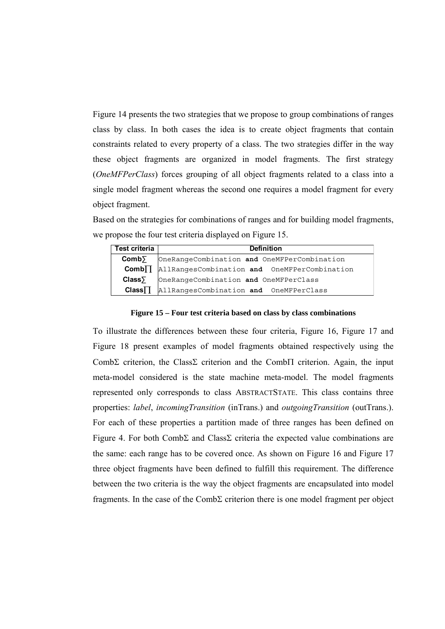Figure 14 presents the two strategies that we propose to group combinations of ranges class by class. In both cases the idea is to create object fragments that contain constraints related to every property of a class. The two strategies differ in the way these object fragments are organized in model fragments. The first strategy (*OneMFPerClass*) forces grouping of all object fragments related to a class into a single model fragment whereas the second one requires a model fragment for every object fragment.

Based on the strategies for combinations of ranges and for building model fragments, we propose the four test criteria displayed on Figure 15.

| <b>Test criteria</b> | <b>Definition</b>                                    |  |  |
|----------------------|------------------------------------------------------|--|--|
| $Comb\bar{}$         | OneRangeCombination and OneMFPerCombination          |  |  |
|                      | $Comb$ AllRangesCombination and OneMFPerCombination  |  |  |
| Class∑               | OneRangeCombination and OneMFPerClass                |  |  |
|                      | $Class \prod$ AllRangesCombination and OneMFPerClass |  |  |

#### **Figure 15 – Four test criteria based on class by class combinations**

To illustrate the differences between these four criteria, Figure 16, Figure 17 and Figure 18 present examples of model fragments obtained respectively using the CombΣ criterion, the ClassΣ criterion and the CombΠ criterion. Again, the input meta-model considered is the state machine meta-model. The model fragments represented only corresponds to class ABSTRACTSTATE. This class contains three properties: *label*, *incomingTransition* (inTrans.) and *outgoingTransition* (outTrans.). For each of these properties a partition made of three ranges has been defined on Figure 4. For both CombΣ and ClassΣ criteria the expected value combinations are the same: each range has to be covered once. As shown on Figure 16 and Figure 17 three object fragments have been defined to fulfill this requirement. The difference between the two criteria is the way the object fragments are encapsulated into model fragments. In the case of the Comb $\Sigma$  criterion there is one model fragment per object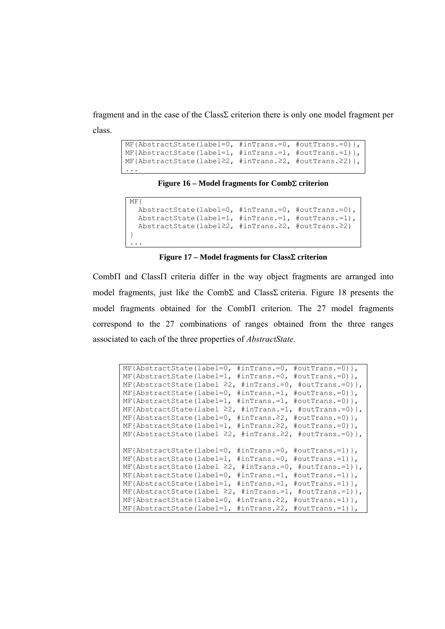fragment and in the case of the Class  $\Sigma$  criterion there is only one model fragment per class.

```
MF{AbstractState(label=0, #inTrans.=0, #outTrans.=0)}, 
MF{AbstractState(label=1, #inTrans.=1, #outTrans.=1)}, 
MF{AbstractState(label≥2, #inTrans.≥2, #outTrans.≥2)}, 
...
```
**Figure 16 – Model fragments for Comb**Σ **criterion** 

```
MF AbstractState(label=0, #inTrans.=0, #outTrans.=0), 
   AbstractState(label=1, #inTrans.=1, #outTrans.=1), 
   AbstractState(label≥2, #inTrans.≥2, #outTrans.≥2) 
} 
...
```
#### **Figure 17 – Model fragments for Class**Σ **criterion**

CombΠ and ClassΠ criteria differ in the way object fragments are arranged into model fragments, just like the CombΣ and ClassΣ criteria. Figure 18 presents the model fragments obtained for the CombΠ criterion. The 27 model fragments correspond to the 27 combinations of ranges obtained from the three ranges associated to each of the three properties of *AbstractState.* 

```
MF{AbstractState(label=0, #inTrans.=0, #outTrans.=0)}, 
MF{AbstractState(label=1, #inTrans.=0, #outTrans.=0)}, 
MF{AbstractState(label \geq 2, #inTrans.=0, #outTrans.=0) },
MF{AbstractState(label=0, #inTrans.=1, #outTrans.=0)}, 
MF{AbstractState(label=1, #inTrans.=1, #outTrans.=0) },
MF{AbstractState(label \geq 2, #inTrans.=1, #outTrans.=0) },
MF{AbstractState(label=0, #inTrans.≥2, #outTrans.=0)}, 
MF{AbstractState(label=1, #inTrans.≥2, #outTrans.=0)}, 
MF{AbstractState(label \geq 2, #inTrans.\geq 2, #outTrans.=0) },
MF{AbstractState(label=0, #inTrans.=0, #outTrans.=1)}, 
MF{AbstractState(label=1, #inTrans.=0, #outTrans.=1) },
MF{AbstractState(label ≥2, #inTrans.=0, #outTrans.=1)}, 
MF{AbstractState(label=0, #inTrans.=1, #outTrans.=1)}, 
MF{AbstractState(label=1, #inTrans.=1, #outTrans.=1)}, 
MF{AbstractState(label ≥2, #inTrans.=1, #outTrans.=1)}, 
MF{AbstractState(label=0, #inTrans.≥2, #outTrans.=1)}, 
MF{AbstractState(label=1, #inTrans.≥2, #outTrans.=1)},
```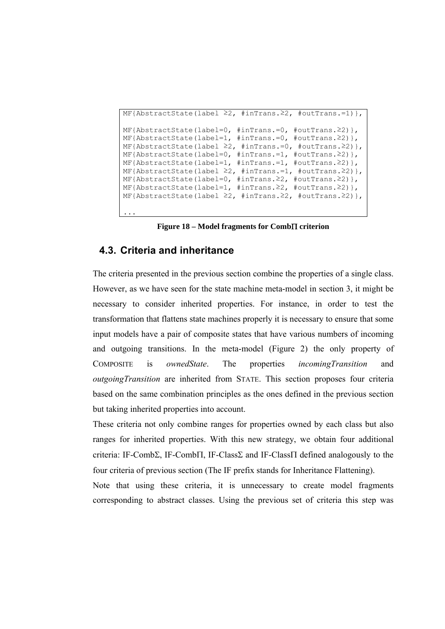```
MF{AbstractState(label \geq 2, #inTrans.\geq 2, #outTrans.=1) },
MF{AbstractState(label=0, #inTrans.=0, #outTrans.≥2)}, 
MF{AbstractState(label=1, #inTrans.=0, #outTrans.≥2)}, 
MF{AbstractState(label ≥2, #inTrans.=0, #outTrans.≥2)}, 
MF{AbstractState(label=0, #inTrans.=1, #outTrans. \geq2) },
MF{AbstractState(label=1, #inTrans.=1, #outTrans.≥2)}, 
MF{AbstractState(label \geq 2, #inTrans.=1, #outTrans.\geq 2) },
MF{AbstractState(label=0, #inTrans.\geq 2, #outTrans.\geq 2) },
MF{AbstractState(label=1, #inTrans.≥2, #outTrans.≥2)}, 
MF{AbstractState(label ≥2, #inTrans.≥2, #outTrans.≥2)}, 
...
```
**Figure 18 – Model fragments for Comb**Π **criterion** 

### **4.3. Criteria and inheritance**

The criteria presented in the previous section combine the properties of a single class. However, as we have seen for the state machine meta-model in section 3, it might be necessary to consider inherited properties. For instance, in order to test the transformation that flattens state machines properly it is necessary to ensure that some input models have a pair of composite states that have various numbers of incoming and outgoing transitions. In the meta-model (Figure 2) the only property of COMPOSITE is *ownedState*. The properties *incomingTransition* and *outgoingTransition* are inherited from STATE. This section proposes four criteria based on the same combination principles as the ones defined in the previous section but taking inherited properties into account.

These criteria not only combine ranges for properties owned by each class but also ranges for inherited properties. With this new strategy, we obtain four additional criteria: IF-CombΣ, IF-CombΠ, IF-ClassΣ and IF-ClassΠ defined analogously to the four criteria of previous section (The IF prefix stands for Inheritance Flattening).

Note that using these criteria, it is unnecessary to create model fragments corresponding to abstract classes. Using the previous set of criteria this step was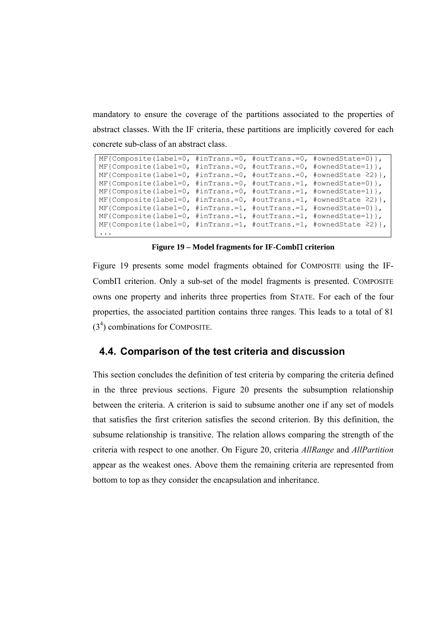mandatory to ensure the coverage of the partitions associated to the properties of abstract classes. With the IF criteria, these partitions are implicitly covered for each concrete sub-class of an abstract class.

```
MF{Composite(label=0, #inTrans.=0, #outTrans.=0, #ownedState=0)}, 
MF{Composite(label=0, #inTrans.=0, #outTrans.=0, #ownedState=1)}, 
MF{Composite(label=0, #inTrans.=0, #outTrans.=0, #ownedState \geq 2) },
MF{Composite(label=0, #inTrans.=0, #outTrans.=1, #ownedState=0) },
MF{Composite(label=0, #inTrans.=0, #outTrans.=1, #ownedState=1)}, 
MF{Composite(label=0, #inTrans.=0, #outTrans.=1, #ownedState \geq 2) },
MF{Composite(label=0, #inTrans.=1, #outTrans.=1, #ownedState=0) },
MF{Composite(label=0, #inTrans.=1, #outTrans.=1, #ownedState=1) },
MF{Composite(label=0, #inTrans.=1, #outTrans.=1, #ownedState \geq 2) },
...
```
**Figure 19 – Model fragments for IF-Comb**Π **criterion** 

Figure 19 presents some model fragments obtained for COMPOSITE using the IF-CombΠ criterion. Only a sub-set of the model fragments is presented. COMPOSITE owns one property and inherits three properties from STATE. For each of the four properties, the associated partition contains three ranges. This leads to a total of 81  $(3<sup>4</sup>)$  combinations for COMPOSITE.

#### **4.4. Comparison of the test criteria and discussion**

This section concludes the definition of test criteria by comparing the criteria defined in the three previous sections. Figure 20 presents the subsumption relationship between the criteria. A criterion is said to subsume another one if any set of models that satisfies the first criterion satisfies the second criterion. By this definition, the subsume relationship is transitive. The relation allows comparing the strength of the criteria with respect to one another. On Figure 20, criteria *AllRange* and *AllPartition* appear as the weakest ones. Above them the remaining criteria are represented from bottom to top as they consider the encapsulation and inheritance.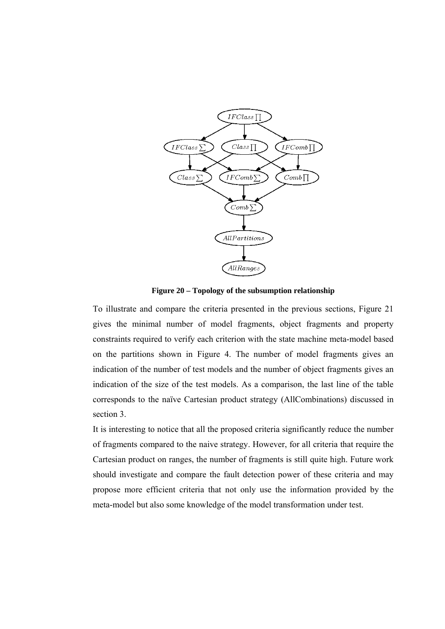

**Figure 20 – Topology of the subsumption relationship** 

To illustrate and compare the criteria presented in the previous sections, Figure 21 gives the minimal number of model fragments, object fragments and property constraints required to verify each criterion with the state machine meta-model based on the partitions shown in Figure 4. The number of model fragments gives an indication of the number of test models and the number of object fragments gives an indication of the size of the test models. As a comparison, the last line of the table corresponds to the naïve Cartesian product strategy (AllCombinations) discussed in section 3.

It is interesting to notice that all the proposed criteria significantly reduce the number of fragments compared to the naive strategy. However, for all criteria that require the Cartesian product on ranges, the number of fragments is still quite high. Future work should investigate and compare the fault detection power of these criteria and may propose more efficient criteria that not only use the information provided by the meta-model but also some knowledge of the model transformation under test.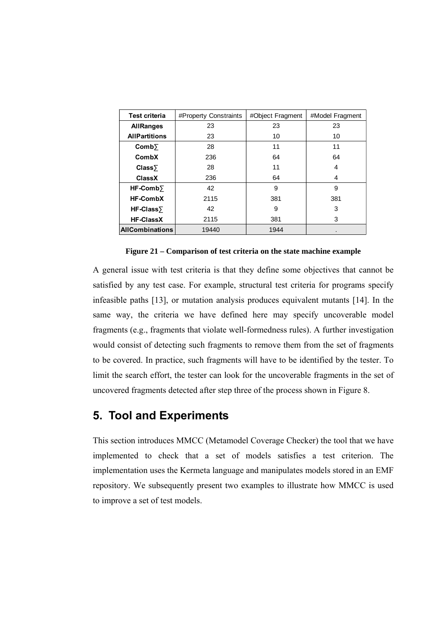| <b>Test criteria</b>             | #Property Constraints | #Object Fragment | #Model Fragment |
|----------------------------------|-----------------------|------------------|-----------------|
| <b>AllRanges</b>                 | 23                    | 23               | 23              |
| <b>AllPartitions</b>             | 23                    | 10               | 10              |
| Comb <sub>2</sub>                | 28                    | 11               | 11              |
| <b>CombX</b>                     | 236                   | 64               | 64              |
| Class <sub>2</sub>               | 28                    | 11               | 4               |
| <b>ClassX</b>                    | 236                   | 64               | 4               |
| $HF\text{-}\mathsf{Comb}\Sigma$  | 42                    | 9                | 9               |
| <b>HF-CombX</b>                  | 2115                  | 381              | 381             |
| $HF\text{-}\mathbf{Class}\Sigma$ | 42                    | 9                | 3               |
| <b>HF-ClassX</b>                 | 2115                  | 381              | 3               |
| <b>AllCombinations</b>           | 19440                 | 1944             |                 |

**Figure 21 – Comparison of test criteria on the state machine example** 

A general issue with test criteria is that they define some objectives that cannot be satisfied by any test case. For example, structural test criteria for programs specify infeasible paths [13], or mutation analysis produces equivalent mutants [14]. In the same way, the criteria we have defined here may specify uncoverable model fragments (e.g., fragments that violate well-formedness rules). A further investigation would consist of detecting such fragments to remove them from the set of fragments to be covered. In practice, such fragments will have to be identified by the tester. To limit the search effort, the tester can look for the uncoverable fragments in the set of uncovered fragments detected after step three of the process shown in Figure 8.

# **5. Tool and Experiments**

This section introduces MMCC (Metamodel Coverage Checker) the tool that we have implemented to check that a set of models satisfies a test criterion. The implementation uses the Kermeta language and manipulates models stored in an EMF repository. We subsequently present two examples to illustrate how MMCC is used to improve a set of test models.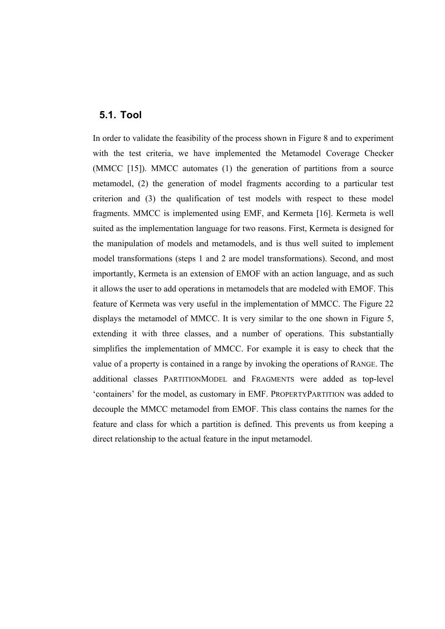#### **5.1. Tool**

In order to validate the feasibility of the process shown in Figure 8 and to experiment with the test criteria, we have implemented the Metamodel Coverage Checker (MMCC [15]). MMCC automates (1) the generation of partitions from a source metamodel, (2) the generation of model fragments according to a particular test criterion and (3) the qualification of test models with respect to these model fragments. MMCC is implemented using EMF, and Kermeta [16]. Kermeta is well suited as the implementation language for two reasons. First, Kermeta is designed for the manipulation of models and metamodels, and is thus well suited to implement model transformations (steps 1 and 2 are model transformations). Second, and most importantly, Kermeta is an extension of EMOF with an action language, and as such it allows the user to add operations in metamodels that are modeled with EMOF. This feature of Kermeta was very useful in the implementation of MMCC. The Figure 22 displays the metamodel of MMCC. It is very similar to the one shown in Figure 5, extending it with three classes, and a number of operations. This substantially simplifies the implementation of MMCC. For example it is easy to check that the value of a property is contained in a range by invoking the operations of RANGE. The additional classes PARTITIONMODEL and FRAGMENTS were added as top-level 'containers' for the model, as customary in EMF. PROPERTYPARTITION was added to decouple the MMCC metamodel from EMOF. This class contains the names for the feature and class for which a partition is defined. This prevents us from keeping a direct relationship to the actual feature in the input metamodel.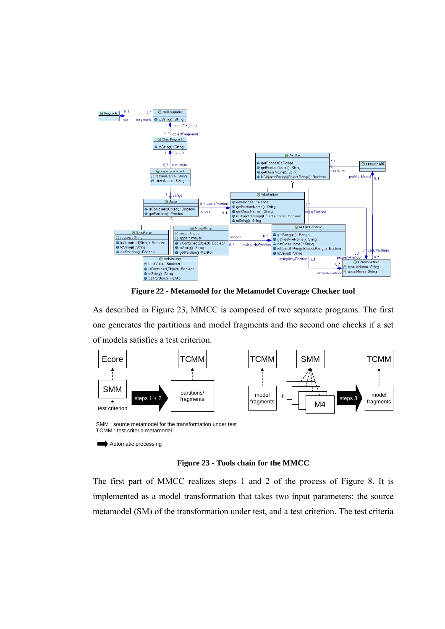

**Figure 22 - Metamodel for the Metamodel Coverage Checker tool** 

As described in Figure 23, MMCC is composed of two separate programs. The first one generates the partitions and model fragments and the second one checks if a set of models satisfies a test criterion.



SMM : source metamodel for the transformation under test TCMM : test criteria metamodel

Automatic processing

#### **Figure 23 - Tools chain for the MMCC**

The first part of MMCC realizes steps 1 and 2 of the process of Figure 8. It is implemented as a model transformation that takes two input parameters: the source metamodel (SM) of the transformation under test, and a test criterion. The test criteria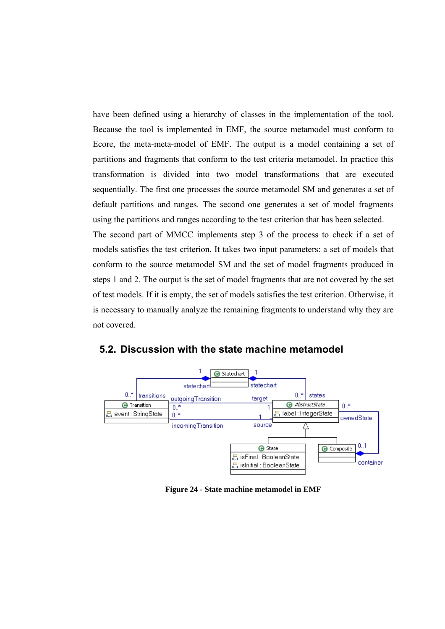have been defined using a hierarchy of classes in the implementation of the tool. Because the tool is implemented in EMF, the source metamodel must conform to Ecore, the meta-meta-model of EMF. The output is a model containing a set of partitions and fragments that conform to the test criteria metamodel. In practice this transformation is divided into two model transformations that are executed sequentially. The first one processes the source metamodel SM and generates a set of default partitions and ranges. The second one generates a set of model fragments using the partitions and ranges according to the test criterion that has been selected.

The second part of MMCC implements step 3 of the process to check if a set of models satisfies the test criterion. It takes two input parameters: a set of models that conform to the source metamodel SM and the set of model fragments produced in steps 1 and 2. The output is the set of model fragments that are not covered by the set of test models. If it is empty, the set of models satisfies the test criterion. Otherwise, it is necessary to manually analyze the remaining fragments to understand why they are not covered.

### **5.2. Discussion with the state machine metamodel**



**Figure 24 - State machine metamodel in EMF**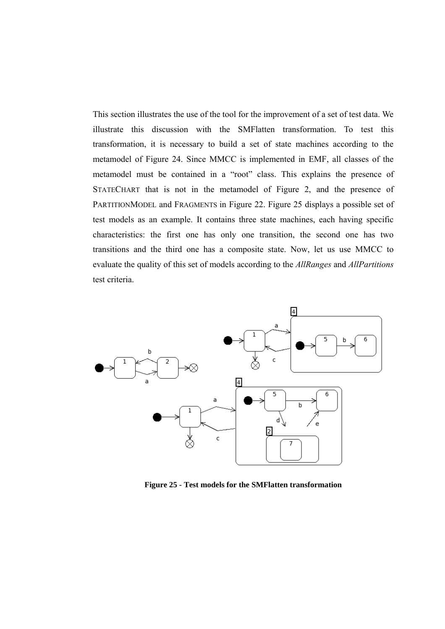This section illustrates the use of the tool for the improvement of a set of test data. We illustrate this discussion with the SMFlatten transformation. To test this transformation, it is necessary to build a set of state machines according to the metamodel of Figure 24. Since MMCC is implemented in EMF, all classes of the metamodel must be contained in a "root" class. This explains the presence of STATECHART that is not in the metamodel of Figure 2, and the presence of PARTITIONMODEL and FRAGMENTS in Figure 22. Figure 25 displays a possible set of test models as an example. It contains three state machines, each having specific characteristics: the first one has only one transition, the second one has two transitions and the third one has a composite state. Now, let us use MMCC to evaluate the quality of this set of models according to the *AllRanges* and *AllPartitions* test criteria.



**Figure 25 - Test models for the SMFlatten transformation**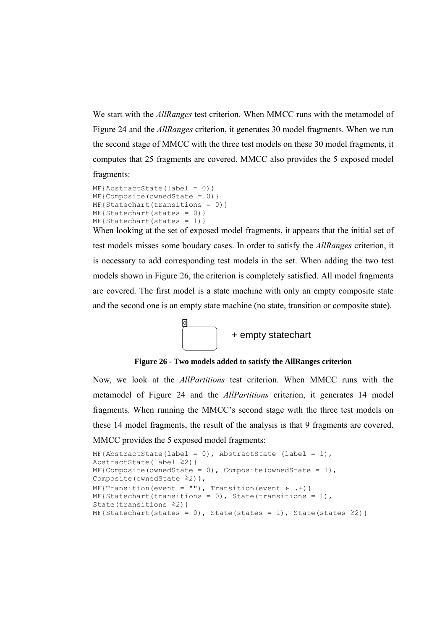We start with the *AllRanges* test criterion. When MMCC runs with the metamodel of Figure 24 and the *AllRanges* criterion, it generates 30 model fragments. When we run the second stage of MMCC with the three test models on these 30 model fragments, it computes that 25 fragments are covered. MMCC also provides the 5 exposed model fragments:

```
MF{AbstractState(label = 0)} 
MF{Composite(ownedState = 0)}MF{Statechart}(transitions = 0) }
MF{Statechart(states = 0)} 
MF{Statechart(states = 1)}
```
When looking at the set of exposed model fragments, it appears that the initial set of test models misses some boudary cases. In order to satisfy the *AllRanges* criterion, it is necessary to add corresponding test models in the set. When adding the two test models shown in Figure 26, the criterion is completely satisfied. All model fragments are covered. The first model is a state machine with only an empty composite state and the second one is an empty state machine (no state, transition or composite state).



**Figure 26 - Two models added to satisfy the AllRanges criterion** 

Now, we look at the *AllPartitions* test criterion. When MMCC runs with the metamodel of Figure 24 and the *AllPartitions* criterion, it generates 14 model fragments. When running the MMCC's second stage with the three test models on these 14 model fragments, the result of the analysis is that 9 fragments are covered. MMCC provides the 5 exposed model fragments:

```
MF{AbstractState(label = 0)}, AbstractState (label = 1),
AbstractState(label ≥2)} 
MF{Composite(ownedState = 0)}, Composite(ownedState = 1),
Composite(ownedState \geq 2) },
MF{Traination(event = "")}, Transition(event \in .+)}MF{Statechart}(transitions = 0), State(transitions = 1),
State(transitions ≥2)} 
MF{Statechart(states = 0), State(states = 1), State(states \geq 2)}
```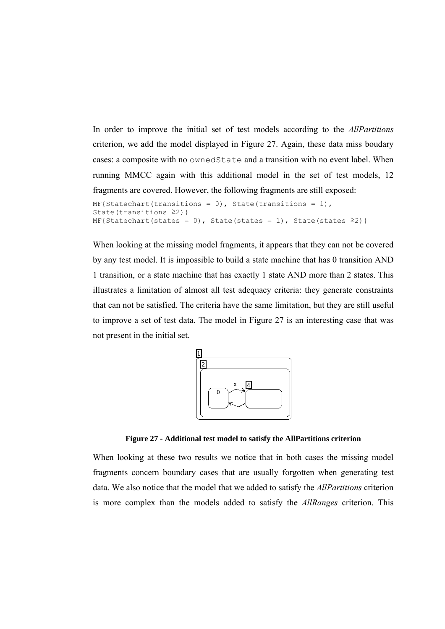In order to improve the initial set of test models according to the *AllPartitions* criterion, we add the model displayed in Figure 27. Again, these data miss boudary cases: a composite with no ownedState and a transition with no event label. When running MMCC again with this additional model in the set of test models, 12 fragments are covered. However, the following fragments are still exposed:

```
MF{Statechart}(transitions = 0), State(transitions = 1),
State(transitions ≥2)} 
MF{Statechart(states = 0), State(states = 1), State(states \geq2)}
```
When looking at the missing model fragments, it appears that they can not be covered by any test model. It is impossible to build a state machine that has 0 transition AND 1 transition, or a state machine that has exactly 1 state AND more than 2 states. This illustrates a limitation of almost all test adequacy criteria: they generate constraints that can not be satisfied. The criteria have the same limitation, but they are still useful to improve a set of test data. The model in Figure 27 is an interesting case that was not present in the initial set.



**Figure 27 - Additional test model to satisfy the AllPartitions criterion** 

When looking at these two results we notice that in both cases the missing model fragments concern boundary cases that are usually forgotten when generating test data. We also notice that the model that we added to satisfy the *AllPartitions* criterion is more complex than the models added to satisfy the *AllRanges* criterion. This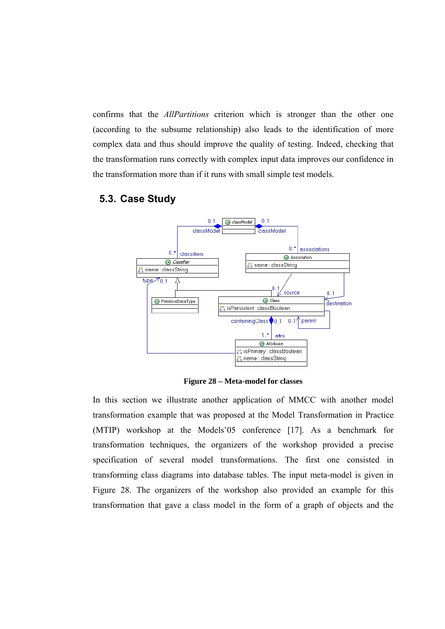confirms that the *AllPartitions* criterion which is stronger than the other one (according to the subsume relationship) also leads to the identification of more complex data and thus should improve the quality of testing. Indeed, checking that the transformation runs correctly with complex input data improves our confidence in the transformation more than if it runs with small simple test models.



#### **5.3. Case Study**

**Figure 28 – Meta-model for classes** 

In this section we illustrate another application of MMCC with another model transformation example that was proposed at the Model Transformation in Practice (MTIP) workshop at the Models'05 conference [17]. As a benchmark for transformation techniques, the organizers of the workshop provided a precise specification of several model transformations. The first one consisted in transforming class diagrams into database tables. The input meta-model is given in Figure 28. The organizers of the workshop also provided an example for this transformation that gave a class model in the form of a graph of objects and the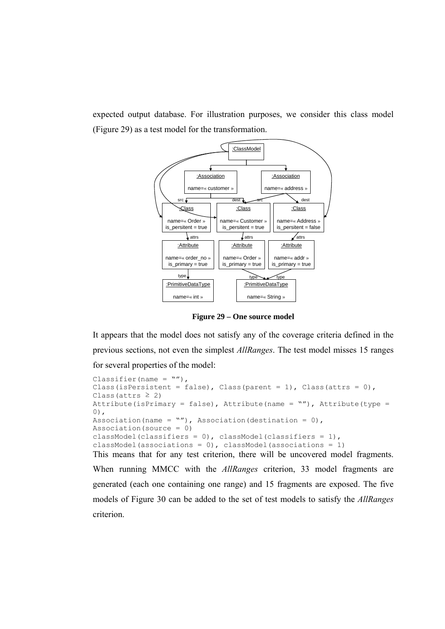expected output database. For illustration purposes, we consider this class model (Figure 29) as a test model for the transformation.



**Figure 29 – One source model** 

It appears that the model does not satisfy any of the coverage criteria defined in the previous sections, not even the simplest *AllRanges*. The test model misses 15 ranges for several properties of the model:

```
Classifier(name = "),
Class(isPersistent = false), Class(parent = 1), Class(attrs = 0),
Class(attrs \geq 2)
Attribute(isPrimary = false), Attribute(name = "), Attribute(type =
0),
Association(name = ""), Association(destination = 0),
Association(source = 0)
classModel(classifiers = 0), classModel(classifiers = 1),
classModel(associations = 0), classModel(associations = 1)
This means that for any test criterion, there will be uncovered model fragments.
```
When running MMCC with the *AllRanges* criterion, 33 model fragments are generated (each one containing one range) and 15 fragments are exposed. The five models of Figure 30 can be added to the set of test models to satisfy the *AllRanges* criterion.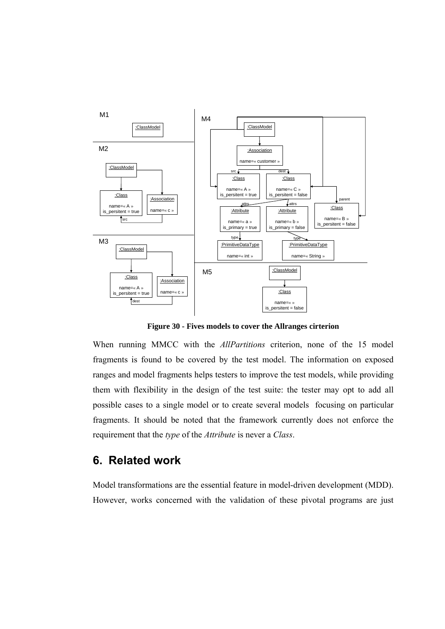

**Figure 30 - Fives models to cover the Allranges cirterion** 

When running MMCC with the *AllPartitions* criterion, none of the 15 model fragments is found to be covered by the test model. The information on exposed ranges and model fragments helps testers to improve the test models, while providing them with flexibility in the design of the test suite: the tester may opt to add all possible cases to a single model or to create several models focusing on particular fragments. It should be noted that the framework currently does not enforce the requirement that the *type* of the *Attribute* is never a *Class*.

### **6. Related work**

Model transformations are the essential feature in model-driven development (MDD). However, works concerned with the validation of these pivotal programs are just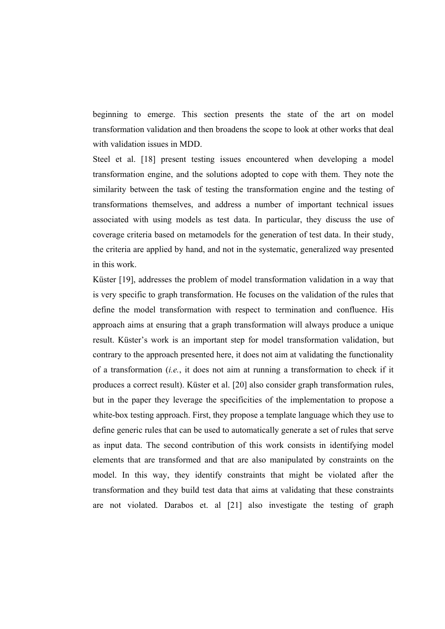beginning to emerge. This section presents the state of the art on model transformation validation and then broadens the scope to look at other works that deal with validation issues in MDD.

Steel et al. [18] present testing issues encountered when developing a model transformation engine, and the solutions adopted to cope with them. They note the similarity between the task of testing the transformation engine and the testing of transformations themselves, and address a number of important technical issues associated with using models as test data. In particular, they discuss the use of coverage criteria based on metamodels for the generation of test data. In their study, the criteria are applied by hand, and not in the systematic, generalized way presented in this work.

Küster [19], addresses the problem of model transformation validation in a way that is very specific to graph transformation. He focuses on the validation of the rules that define the model transformation with respect to termination and confluence. His approach aims at ensuring that a graph transformation will always produce a unique result. Küster's work is an important step for model transformation validation, but contrary to the approach presented here, it does not aim at validating the functionality of a transformation (*i.e.*, it does not aim at running a transformation to check if it produces a correct result). Küster et al. [20] also consider graph transformation rules, but in the paper they leverage the specificities of the implementation to propose a white-box testing approach. First, they propose a template language which they use to define generic rules that can be used to automatically generate a set of rules that serve as input data. The second contribution of this work consists in identifying model elements that are transformed and that are also manipulated by constraints on the model. In this way, they identify constraints that might be violated after the transformation and they build test data that aims at validating that these constraints are not violated. Darabos et. al [21] also investigate the testing of graph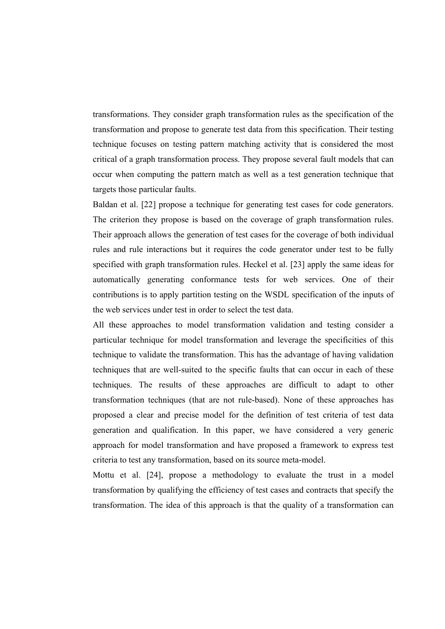transformations. They consider graph transformation rules as the specification of the transformation and propose to generate test data from this specification. Their testing technique focuses on testing pattern matching activity that is considered the most critical of a graph transformation process. They propose several fault models that can occur when computing the pattern match as well as a test generation technique that targets those particular faults.

Baldan et al. [22] propose a technique for generating test cases for code generators. The criterion they propose is based on the coverage of graph transformation rules. Their approach allows the generation of test cases for the coverage of both individual rules and rule interactions but it requires the code generator under test to be fully specified with graph transformation rules. Heckel et al. [23] apply the same ideas for automatically generating conformance tests for web services. One of their contributions is to apply partition testing on the WSDL specification of the inputs of the web services under test in order to select the test data.

All these approaches to model transformation validation and testing consider a particular technique for model transformation and leverage the specificities of this technique to validate the transformation. This has the advantage of having validation techniques that are well-suited to the specific faults that can occur in each of these techniques. The results of these approaches are difficult to adapt to other transformation techniques (that are not rule-based). None of these approaches has proposed a clear and precise model for the definition of test criteria of test data generation and qualification. In this paper, we have considered a very generic approach for model transformation and have proposed a framework to express test criteria to test any transformation, based on its source meta-model.

Mottu et al. [24], propose a methodology to evaluate the trust in a model transformation by qualifying the efficiency of test cases and contracts that specify the transformation. The idea of this approach is that the quality of a transformation can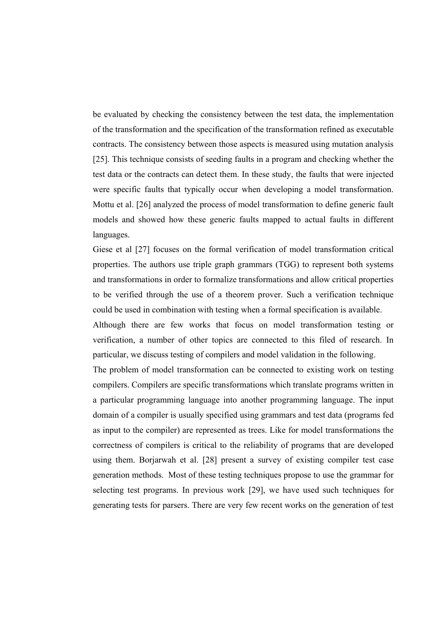be evaluated by checking the consistency between the test data, the implementation of the transformation and the specification of the transformation refined as executable contracts. The consistency between those aspects is measured using mutation analysis [25]. This technique consists of seeding faults in a program and checking whether the test data or the contracts can detect them. In these study, the faults that were injected were specific faults that typically occur when developing a model transformation. Mottu et al. [26] analyzed the process of model transformation to define generic fault models and showed how these generic faults mapped to actual faults in different languages.

Giese et al [27] focuses on the formal verification of model transformation critical properties. The authors use triple graph grammars (TGG) to represent both systems and transformations in order to formalize transformations and allow critical properties to be verified through the use of a theorem prover. Such a verification technique could be used in combination with testing when a formal specification is available.

Although there are few works that focus on model transformation testing or verification, a number of other topics are connected to this filed of research. In particular, we discuss testing of compilers and model validation in the following.

The problem of model transformation can be connected to existing work on testing compilers. Compilers are specific transformations which translate programs written in a particular programming language into another programming language. The input domain of a compiler is usually specified using grammars and test data (programs fed as input to the compiler) are represented as trees. Like for model transformations the correctness of compilers is critical to the reliability of programs that are developed using them. Borjarwah et al. [28] present a survey of existing compiler test case generation methods. Most of these testing techniques propose to use the grammar for selecting test programs. In previous work [29], we have used such techniques for generating tests for parsers. There are very few recent works on the generation of test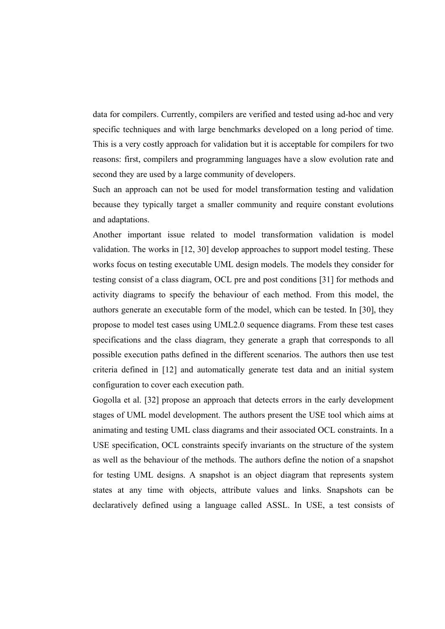data for compilers. Currently, compilers are verified and tested using ad-hoc and very specific techniques and with large benchmarks developed on a long period of time. This is a very costly approach for validation but it is acceptable for compilers for two reasons: first, compilers and programming languages have a slow evolution rate and second they are used by a large community of developers.

Such an approach can not be used for model transformation testing and validation because they typically target a smaller community and require constant evolutions and adaptations.

Another important issue related to model transformation validation is model validation. The works in [12, 30] develop approaches to support model testing. These works focus on testing executable UML design models. The models they consider for testing consist of a class diagram, OCL pre and post conditions [31] for methods and activity diagrams to specify the behaviour of each method. From this model, the authors generate an executable form of the model, which can be tested. In [30], they propose to model test cases using UML2.0 sequence diagrams. From these test cases specifications and the class diagram, they generate a graph that corresponds to all possible execution paths defined in the different scenarios. The authors then use test criteria defined in [12] and automatically generate test data and an initial system configuration to cover each execution path.

Gogolla et al. [32] propose an approach that detects errors in the early development stages of UML model development. The authors present the USE tool which aims at animating and testing UML class diagrams and their associated OCL constraints. In a USE specification, OCL constraints specify invariants on the structure of the system as well as the behaviour of the methods. The authors define the notion of a snapshot for testing UML designs. A snapshot is an object diagram that represents system states at any time with objects, attribute values and links. Snapshots can be declaratively defined using a language called ASSL. In USE, a test consists of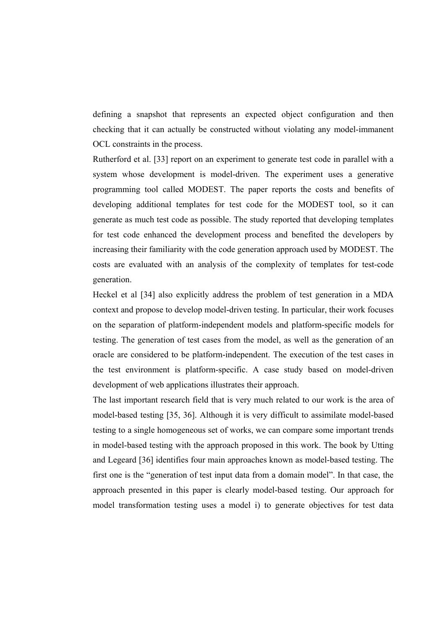defining a snapshot that represents an expected object configuration and then checking that it can actually be constructed without violating any model-immanent OCL constraints in the process.

Rutherford et al. [33] report on an experiment to generate test code in parallel with a system whose development is model-driven. The experiment uses a generative programming tool called MODEST. The paper reports the costs and benefits of developing additional templates for test code for the MODEST tool, so it can generate as much test code as possible. The study reported that developing templates for test code enhanced the development process and benefited the developers by increasing their familiarity with the code generation approach used by MODEST. The costs are evaluated with an analysis of the complexity of templates for test-code generation.

Heckel et al [34] also explicitly address the problem of test generation in a MDA context and propose to develop model-driven testing. In particular, their work focuses on the separation of platform-independent models and platform-specific models for testing. The generation of test cases from the model, as well as the generation of an oracle are considered to be platform-independent. The execution of the test cases in the test environment is platform-specific. A case study based on model-driven development of web applications illustrates their approach.

The last important research field that is very much related to our work is the area of model-based testing [35, 36]. Although it is very difficult to assimilate model-based testing to a single homogeneous set of works, we can compare some important trends in model-based testing with the approach proposed in this work. The book by Utting and Legeard [36] identifies four main approaches known as model-based testing. The first one is the "generation of test input data from a domain model". In that case, the approach presented in this paper is clearly model-based testing. Our approach for model transformation testing uses a model i) to generate objectives for test data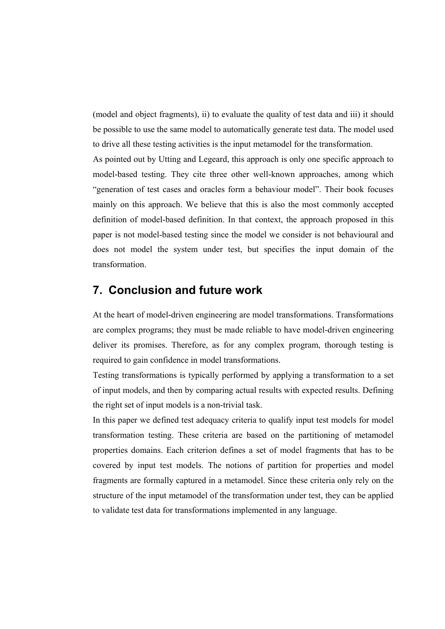(model and object fragments), ii) to evaluate the quality of test data and iii) it should be possible to use the same model to automatically generate test data. The model used to drive all these testing activities is the input metamodel for the transformation.

As pointed out by Utting and Legeard, this approach is only one specific approach to model-based testing. They cite three other well-known approaches, among which "generation of test cases and oracles form a behaviour model". Their book focuses mainly on this approach. We believe that this is also the most commonly accepted definition of model-based definition. In that context, the approach proposed in this paper is not model-based testing since the model we consider is not behavioural and does not model the system under test, but specifies the input domain of the transformation.

### **7. Conclusion and future work**

At the heart of model-driven engineering are model transformations. Transformations are complex programs; they must be made reliable to have model-driven engineering deliver its promises. Therefore, as for any complex program, thorough testing is required to gain confidence in model transformations.

Testing transformations is typically performed by applying a transformation to a set of input models, and then by comparing actual results with expected results. Defining the right set of input models is a non-trivial task.

In this paper we defined test adequacy criteria to qualify input test models for model transformation testing. These criteria are based on the partitioning of metamodel properties domains. Each criterion defines a set of model fragments that has to be covered by input test models. The notions of partition for properties and model fragments are formally captured in a metamodel. Since these criteria only rely on the structure of the input metamodel of the transformation under test, they can be applied to validate test data for transformations implemented in any language.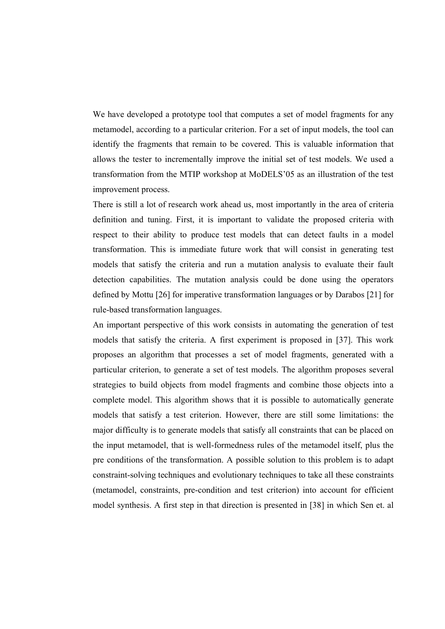We have developed a prototype tool that computes a set of model fragments for any metamodel, according to a particular criterion. For a set of input models, the tool can identify the fragments that remain to be covered. This is valuable information that allows the tester to incrementally improve the initial set of test models. We used a transformation from the MTIP workshop at MoDELS'05 as an illustration of the test improvement process.

There is still a lot of research work ahead us, most importantly in the area of criteria definition and tuning. First, it is important to validate the proposed criteria with respect to their ability to produce test models that can detect faults in a model transformation. This is immediate future work that will consist in generating test models that satisfy the criteria and run a mutation analysis to evaluate their fault detection capabilities. The mutation analysis could be done using the operators defined by Mottu [26] for imperative transformation languages or by Darabos [21] for rule-based transformation languages.

An important perspective of this work consists in automating the generation of test models that satisfy the criteria. A first experiment is proposed in [37]. This work proposes an algorithm that processes a set of model fragments, generated with a particular criterion, to generate a set of test models. The algorithm proposes several strategies to build objects from model fragments and combine those objects into a complete model. This algorithm shows that it is possible to automatically generate models that satisfy a test criterion. However, there are still some limitations: the major difficulty is to generate models that satisfy all constraints that can be placed on the input metamodel, that is well-formedness rules of the metamodel itself, plus the pre conditions of the transformation. A possible solution to this problem is to adapt constraint-solving techniques and evolutionary techniques to take all these constraints (metamodel, constraints, pre-condition and test criterion) into account for efficient model synthesis. A first step in that direction is presented in [38] in which Sen et. al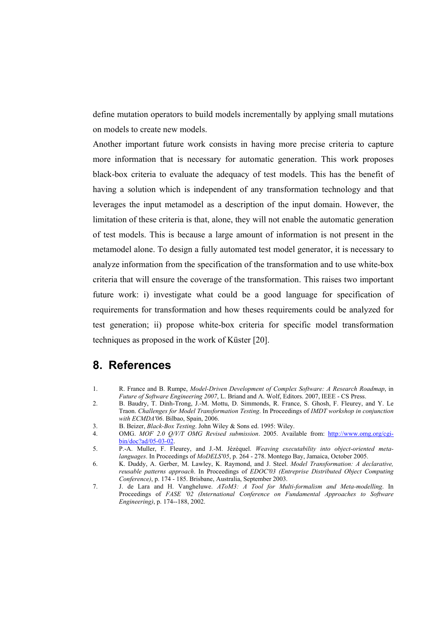define mutation operators to build models incrementally by applying small mutations on models to create new models.

Another important future work consists in having more precise criteria to capture more information that is necessary for automatic generation. This work proposes black-box criteria to evaluate the adequacy of test models. This has the benefit of having a solution which is independent of any transformation technology and that leverages the input metamodel as a description of the input domain. However, the limitation of these criteria is that, alone, they will not enable the automatic generation of test models. This is because a large amount of information is not present in the metamodel alone. To design a fully automated test model generator, it is necessary to analyze information from the specification of the transformation and to use white-box criteria that will ensure the coverage of the transformation. This raises two important future work: i) investigate what could be a good language for specification of requirements for transformation and how theses requirements could be analyzed for test generation; ii) propose white-box criteria for specific model transformation techniques as proposed in the work of Küster [20].

# **8. References**

- 1. R. France and B. Rumpe, *Model-Driven Development of Complex Software: A Research Roadmap*, in *Future of Software Engineering 2007*, L. Briand and A. Wolf, Editors. 2007, IEEE - CS Press.
- 2. B. Baudry, T. Dinh-Trong, J.-M. Mottu, D. Simmonds, R. France, S. Ghosh, F. Fleurey, and Y. Le Traon. *Challenges for Model Transformation Testing*. In Proceedings of *IMDT workshop in conjunction with ECMDA'06*. Bilbao, Spain, 2006.
- 3. B. Beizer, *Black-Box Testing*. John Wiley & Sons ed. 1995: Wiley.
- 4. OMG. *MOF 2.0 Q/V/T OMG Revised submission*. 2005. Available from: http://www.omg.org/cgibin/doc?ad/05-03-02.
- 5. P.-A. Muller, F. Fleurey, and J.-M. Jézéquel. *Weaving executability into object-oriented metalanguages*. In Proceedings of *MoDELS'05*, p. 264 - 278. Montego Bay, Jamaica, October 2005.
- 6. K. Duddy, A. Gerber, M. Lawley, K. Raymond, and J. Steel. *Model Transformation: A declarative, reusable patterns approach*. In Proceedings of *EDOC'03 (Entreprise Distributed Object Computing Conference)*, p. 174 - 185. Brisbane, Australia, September 2003.
- 7. J. de Lara and H. Vangheluwe. *AToM3: A Tool for Multi-formalism and Meta-modelling*. In Proceedings of *FASE* '02 (International Conference on Fundamental Approaches to Software *Engineering)*, p. 174--188, 2002.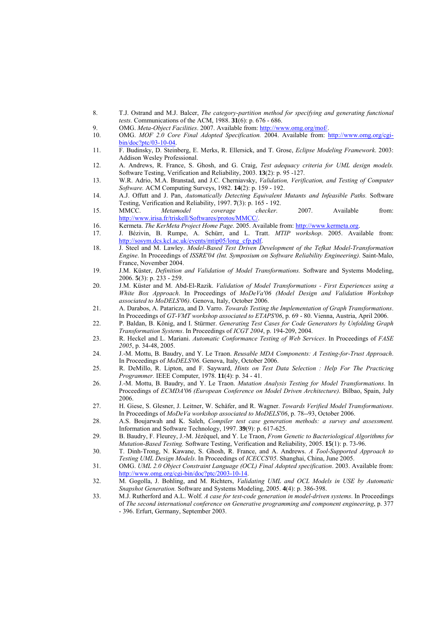- 8. T.J. Ostrand and M.J. Balcer, *The category-partition method for specifying and generating functional tests.* Communications of the ACM, 1988. **31**(6): p. 676 - 686.
- 9. OMG. *Meta-Object Facilities*. 2007. Available from: http://www.omg.org/mof/.
- 10. OMG. *MOF 2.0 Core Final Adopted Specification.* 2004. Available from: http://www.omg.org/cgibin/doc?ptc/03-10-04.
- 11. F. Budinsky, D. Steinberg, E. Merks, R. Ellersick, and T. Grose, *Eclipse Modeling Framework*. 2003: Addison Wesley Professional.
- 12. A. Andrews, R. France, S. Ghosh, and G. Craig, *Test adequacy criteria for UML design models.* Software Testing, Verification and Reliability, 2003. **13**(2): p. 95 -127.
- 13. W.R. Adrio, M.A. Branstad, and J.C. Cherniavsky, *Validation, Verification, and Testing of Computer Software.* ACM Computing Surveys, 1982. **14**(2): p. 159 - 192.
- 14. A.J. Offutt and J. Pan, *Automatically Detecting Equivalent Mutants and Infeasible Paths.* Software Testing, Verification and Reliability, 1997. **7**(3): p. 165 - 192.
- 15. MMCC. *Metamodel coverage checker*. 2007. Available from: http://www.irisa.fr/triskell/Softwares/protos/MMCC/.
- 16. Kermeta. *The KerMeta Project Home Page*. 2005. Available from: http://www.kermeta.org.
- 17. J. Bézivin, B. Rumpe, A. Schürr, and L. Tratt. *MTIP workshop*. 2005. Available from: http://sosym.dcs.kcl.ac.uk/events/mtip05/long\_cfp.pdf.
- 18. J. Steel and M. Lawley. *Model-Based Test Driven Development of the Tefkat Model-Transformation Engine*. In Proceedings of *ISSRE'04 (Int. Symposium on Software Reliability Engineering)*. Saint-Malo, France, November 2004.
- 19. J.M. Küster, *Definition and Validation of Model Transformations.* Software and Systems Modeling, 2006. **5**(3): p. 233 - 259.
- 20. J.M. Küster and M. Abd-El-Razik. *Validation of Model Transformations First Experiences using a White Box Approach*. In Proceedings of *MoDeVa'06 (Model Design and Validation Workshop associated to MoDELS'06)*. Genova, Italy, October 2006.
- 21. A. Darabos, A. Pataricza, and D. Varro. *Towards Testing the Implementation of Graph Transformations*. In Proceedings of *GT-VMT workshop associated to ETAPS'06*, p. 69 - 80. Vienna, Austria, April 2006.
- 22. P. Baldan, B. König, and I. Stürmer. *Generating Test Cases for Code Generators by Unfolding Graph Transformation Systems*. In Proceedings of *ICGT 2004*, p. 194-209, 2004.
- 23. R. Heckel and L. Mariani. *Automatic Conformance Testing of Web Services*. In Proceedings of *FASE 2005*, p. 34-48, 2005.
- 24. J.-M. Mottu, B. Baudry, and Y. Le Traon. *Reusable MDA Components: A Testing-for-Trust Approach*. In Proceedings of *MoDELS'06*. Genova, Italy, October 2006.
- 25. R. DeMillo, R. Lipton, and F. Sayward, *Hints on Test Data Selection : Help For The Practicing Programmer.* IEEE Computer, 1978. **11**(4): p. 34 - 41.
- 26. J.-M. Mottu, B. Baudry, and Y. Le Traon. *Mutation Analysis Testing for Model Transformations*. In Proceedings of *ECMDA'06 (European Conference on Model Driven Architecture)*. Bilbao, Spain, July 2006.
- 27. H. Giese, S. Glesner, J. Leitner, W. Schäfer, and R. Wagner. *Towards Verified Model Transformations*. In Proceedings of *MoDeVa workshop associated to MoDELS'06*, p. 78--93, October 2006.
- 28. A.S. Boujarwah and K. Saleh, *Compiler test case generation methods: a survey and assessment.* Information and Software Technology, 1997. **39**(9): p. 617-625.
- 29. B. Baudry, F. Fleurey, J.-M. Jézéquel, and Y. Le Traon, *From Genetic to Bacteriological Algorithms for Mutation-Based Testing.* Software Testing, Verification and Reliability, 2005. **15**(1): p. 73-96.
- 30. T. Dinh-Trong, N. Kawane, S. Ghosh, R. France, and A. Andrews. *A Tool-Supported Approach to Testing UML Design Models*. In Proceedings of *ICECCS'05*. Shanghai, China, June 2005.
- 31. OMG. *UML 2.0 Object Constraint Language (OCL) Final Adopted specification*. 2003. Available from: http://www.omg.org/cgi-bin/doc?ptc/2003-10-14.
- 32. M. Gogolla, J. Bohling, and M. Richters, *Validating UML and OCL Models in USE by Automatic Snapshot Generation.* Software and Systems Modeling, 2005. **4**(4): p. 386-398.
- 33. M.J. Rutherford and A.L. Wolf. *A case for test-code generation in model-driven systems*. In Proceedings of *The second international conference on Generative programming and component engineering*, p. 377 - 396. Erfurt, Germany, September 2003.